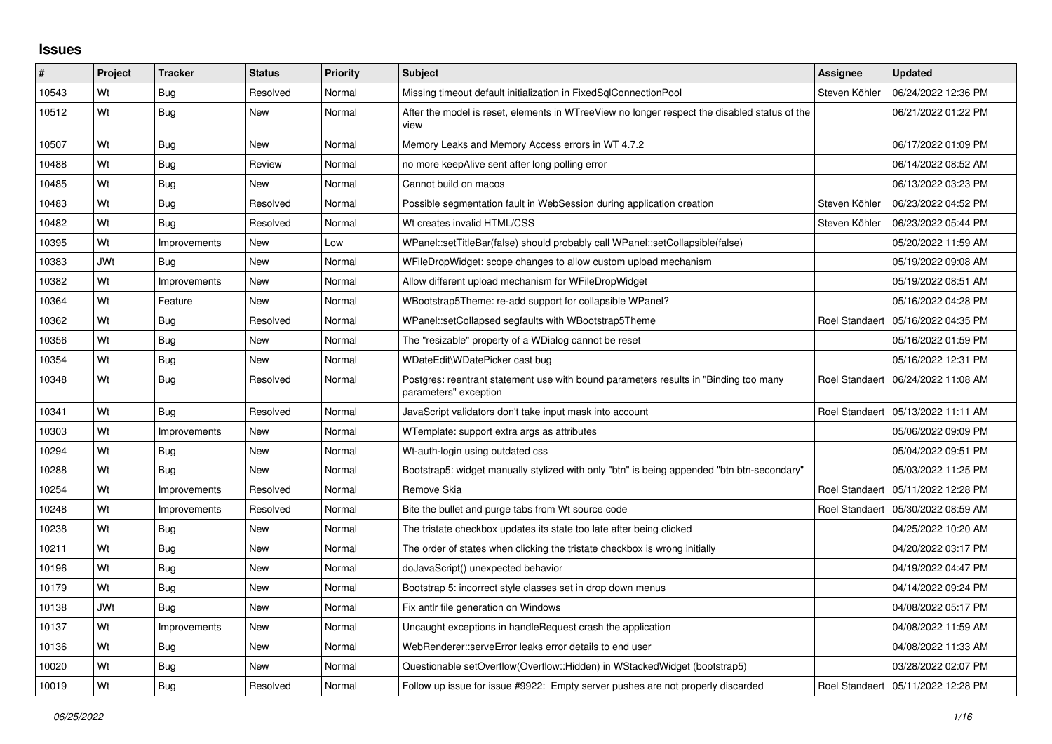## **Issues**

| #     | Project    | <b>Tracker</b> | <b>Status</b> | <b>Priority</b> | <b>Subject</b>                                                                                                | Assignee      | <b>Updated</b>                       |
|-------|------------|----------------|---------------|-----------------|---------------------------------------------------------------------------------------------------------------|---------------|--------------------------------------|
| 10543 | Wt         | <b>Bug</b>     | Resolved      | Normal          | Missing timeout default initialization in FixedSqlConnectionPool                                              | Steven Köhler | 06/24/2022 12:36 PM                  |
| 10512 | Wt         | Bug            | <b>New</b>    | Normal          | After the model is reset, elements in WTreeView no longer respect the disabled status of the<br>view          |               | 06/21/2022 01:22 PM                  |
| 10507 | Wt         | Bug            | New           | Normal          | Memory Leaks and Memory Access errors in WT 4.7.2                                                             |               | 06/17/2022 01:09 PM                  |
| 10488 | Wt         | <b>Bug</b>     | Review        | Normal          | no more keepAlive sent after long polling error                                                               |               | 06/14/2022 08:52 AM                  |
| 10485 | Wt         | Bug            | New           | Normal          | Cannot build on macos                                                                                         |               | 06/13/2022 03:23 PM                  |
| 10483 | Wt         | <b>Bug</b>     | Resolved      | Normal          | Possible segmentation fault in WebSession during application creation                                         | Steven Köhler | 06/23/2022 04:52 PM                  |
| 10482 | Wt         | Bug            | Resolved      | Normal          | Wt creates invalid HTML/CSS                                                                                   | Steven Köhler | 06/23/2022 05:44 PM                  |
| 10395 | Wt         | Improvements   | New           | Low             | WPanel::setTitleBar(false) should probably call WPanel::setCollapsible(false)                                 |               | 05/20/2022 11:59 AM                  |
| 10383 | <b>JWt</b> | Bug            | <b>New</b>    | Normal          | WFileDropWidget: scope changes to allow custom upload mechanism                                               |               | 05/19/2022 09:08 AM                  |
| 10382 | Wt         | Improvements   | New           | Normal          | Allow different upload mechanism for WFileDropWidget                                                          |               | 05/19/2022 08:51 AM                  |
| 10364 | Wt         | Feature        | <b>New</b>    | Normal          | WBootstrap5Theme: re-add support for collapsible WPanel?                                                      |               | 05/16/2022 04:28 PM                  |
| 10362 | Wt         | Bug            | Resolved      | Normal          | WPanel::setCollapsed segfaults with WBootstrap5Theme                                                          |               | Roel Standaert 105/16/2022 04:35 PM  |
| 10356 | Wt         | Bug            | New           | Normal          | The "resizable" property of a WDialog cannot be reset                                                         |               | 05/16/2022 01:59 PM                  |
| 10354 | Wt         | Bug            | New           | Normal          | WDateEdit\WDatePicker cast bug                                                                                |               | 05/16/2022 12:31 PM                  |
| 10348 | Wt         | Bug            | Resolved      | Normal          | Postgres: reentrant statement use with bound parameters results in "Binding too many<br>parameters" exception |               | Roel Standaert   06/24/2022 11:08 AM |
| 10341 | Wt         | Bug            | Resolved      | Normal          | JavaScript validators don't take input mask into account                                                      |               | Roel Standaert   05/13/2022 11:11 AM |
| 10303 | Wt         | Improvements   | New           | Normal          | WTemplate: support extra args as attributes                                                                   |               | 05/06/2022 09:09 PM                  |
| 10294 | Wt         | Bug            | New           | Normal          | Wt-auth-login using outdated css                                                                              |               | 05/04/2022 09:51 PM                  |
| 10288 | Wt         | Bug            | <b>New</b>    | Normal          | Bootstrap5: widget manually stylized with only "btn" is being appended "btn btn-secondary"                    |               | 05/03/2022 11:25 PM                  |
| 10254 | Wt         | Improvements   | Resolved      | Normal          | Remove Skia                                                                                                   |               | Roel Standaert   05/11/2022 12:28 PM |
| 10248 | Wt         | Improvements   | Resolved      | Normal          | Bite the bullet and purge tabs from Wt source code                                                            |               | Roel Standaert 105/30/2022 08:59 AM  |
| 10238 | Wt         | Bug            | <b>New</b>    | Normal          | The tristate checkbox updates its state too late after being clicked                                          |               | 04/25/2022 10:20 AM                  |
| 10211 | Wt         | <b>Bug</b>     | <b>New</b>    | Normal          | The order of states when clicking the tristate checkbox is wrong initially                                    |               | 04/20/2022 03:17 PM                  |
| 10196 | Wt         | Bug            | New           | Normal          | doJavaScript() unexpected behavior                                                                            |               | 04/19/2022 04:47 PM                  |
| 10179 | Wt         | Bug            | New           | Normal          | Bootstrap 5: incorrect style classes set in drop down menus                                                   |               | 04/14/2022 09:24 PM                  |
| 10138 | <b>JWt</b> | <b>Bug</b>     | <b>New</b>    | Normal          | Fix antlr file generation on Windows                                                                          |               | 04/08/2022 05:17 PM                  |
| 10137 | Wt         | Improvements   | New           | Normal          | Uncaught exceptions in handleRequest crash the application                                                    |               | 04/08/2022 11:59 AM                  |
| 10136 | Wt         | <b>Bug</b>     | <b>New</b>    | Normal          | WebRenderer::serveError leaks error details to end user                                                       |               | 04/08/2022 11:33 AM                  |
| 10020 | Wt         | Bug            | <b>New</b>    | Normal          | Questionable setOverflow(Overflow::Hidden) in WStackedWidget (bootstrap5)                                     |               | 03/28/2022 02:07 PM                  |
| 10019 | Wt         | Bug            | Resolved      | Normal          | Follow up issue for issue #9922: Empty server pushes are not properly discarded                               |               | Roel Standaert   05/11/2022 12:28 PM |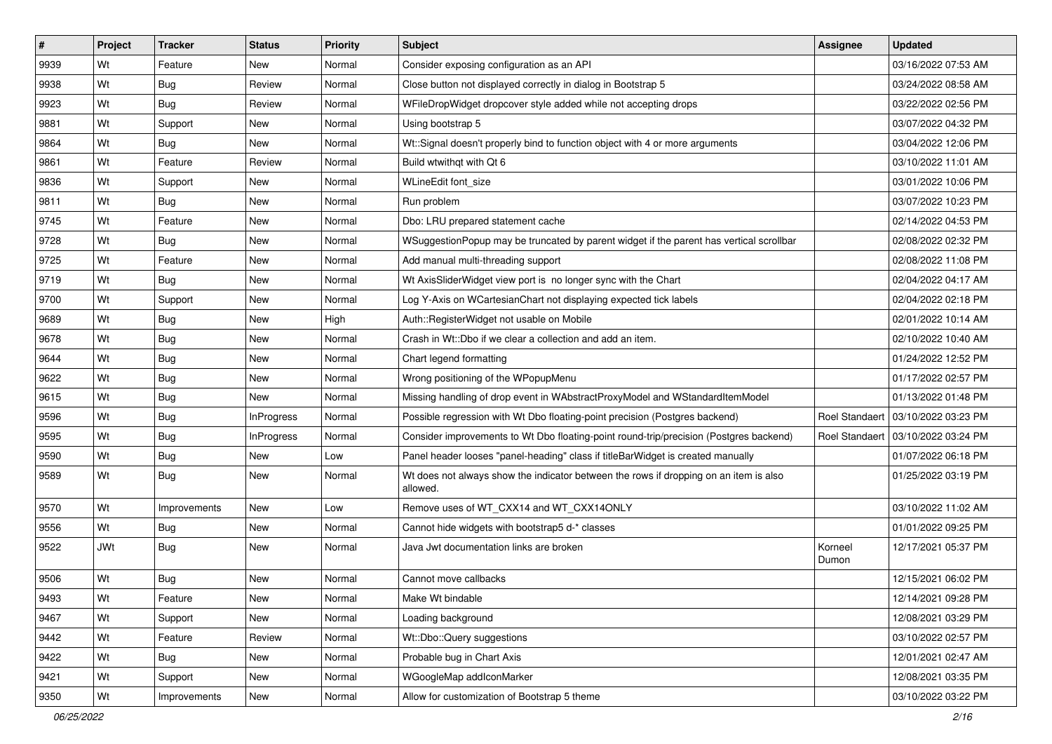| #    | Project    | <b>Tracker</b> | <b>Status</b>     | <b>Priority</b> | <b>Subject</b>                                                                                    | Assignee         | <b>Updated</b>                       |
|------|------------|----------------|-------------------|-----------------|---------------------------------------------------------------------------------------------------|------------------|--------------------------------------|
| 9939 | Wt         | Feature        | New               | Normal          | Consider exposing configuration as an API                                                         |                  | 03/16/2022 07:53 AM                  |
| 9938 | Wt         | Bug            | Review            | Normal          | Close button not displayed correctly in dialog in Bootstrap 5                                     |                  | 03/24/2022 08:58 AM                  |
| 9923 | Wt         | Bug            | Review            | Normal          | WFileDropWidget dropcover style added while not accepting drops                                   |                  | 03/22/2022 02:56 PM                  |
| 9881 | Wt         | Support        | New               | Normal          | Using bootstrap 5                                                                                 |                  | 03/07/2022 04:32 PM                  |
| 9864 | Wt         | Bug            | New               | Normal          | Wt::Signal doesn't properly bind to function object with 4 or more arguments                      |                  | 03/04/2022 12:06 PM                  |
| 9861 | Wt         | Feature        | Review            | Normal          | Build wtwithqt with Qt 6                                                                          |                  | 03/10/2022 11:01 AM                  |
| 9836 | Wt         | Support        | New               | Normal          | WLineEdit font size                                                                               |                  | 03/01/2022 10:06 PM                  |
| 9811 | Wt         | Bug            | New               | Normal          | Run problem                                                                                       |                  | 03/07/2022 10:23 PM                  |
| 9745 | Wt         | Feature        | New               | Normal          | Dbo: LRU prepared statement cache                                                                 |                  | 02/14/2022 04:53 PM                  |
| 9728 | Wt         | Bug            | New               | Normal          | WSuggestionPopup may be truncated by parent widget if the parent has vertical scrollbar           |                  | 02/08/2022 02:32 PM                  |
| 9725 | Wt         | Feature        | New               | Normal          | Add manual multi-threading support                                                                |                  | 02/08/2022 11:08 PM                  |
| 9719 | Wt         | Bug            | New               | Normal          | Wt AxisSliderWidget view port is no longer sync with the Chart                                    |                  | 02/04/2022 04:17 AM                  |
| 9700 | Wt         | Support        | New               | Normal          | Log Y-Axis on WCartesianChart not displaying expected tick labels                                 |                  | 02/04/2022 02:18 PM                  |
| 9689 | Wt         | Bug            | New               | High            | Auth::RegisterWidget not usable on Mobile                                                         |                  | 02/01/2022 10:14 AM                  |
| 9678 | Wt         | Bug            | New               | Normal          | Crash in Wt::Dbo if we clear a collection and add an item.                                        |                  | 02/10/2022 10:40 AM                  |
| 9644 | Wt         | Bug            | New               | Normal          | Chart legend formatting                                                                           |                  | 01/24/2022 12:52 PM                  |
| 9622 | Wt         | Bug            | New               | Normal          | Wrong positioning of the WPopupMenu                                                               |                  | 01/17/2022 02:57 PM                  |
| 9615 | Wt         | Bug            | New               | Normal          | Missing handling of drop event in WAbstractProxyModel and WStandardItemModel                      |                  | 01/13/2022 01:48 PM                  |
| 9596 | Wt         | Bug            | <b>InProgress</b> | Normal          | Possible regression with Wt Dbo floating-point precision (Postgres backend)                       |                  | Roel Standaert   03/10/2022 03:23 PM |
| 9595 | Wt         | Bug            | <b>InProgress</b> | Normal          | Consider improvements to Wt Dbo floating-point round-trip/precision (Postgres backend)            |                  | Roel Standaert   03/10/2022 03:24 PM |
| 9590 | Wt         | Bug            | New               | Low             | Panel header looses "panel-heading" class if titleBarWidget is created manually                   |                  | 01/07/2022 06:18 PM                  |
| 9589 | Wt         | Bug            | New               | Normal          | Wt does not always show the indicator between the rows if dropping on an item is also<br>allowed. |                  | 01/25/2022 03:19 PM                  |
| 9570 | Wt         | Improvements   | New               | Low             | Remove uses of WT CXX14 and WT CXX14ONLY                                                          |                  | 03/10/2022 11:02 AM                  |
| 9556 | Wt         | Bug            | New               | Normal          | Cannot hide widgets with bootstrap5 d-* classes                                                   |                  | 01/01/2022 09:25 PM                  |
| 9522 | <b>JWt</b> | Bug            | New               | Normal          | Java Jwt documentation links are broken                                                           | Korneel<br>Dumon | 12/17/2021 05:37 PM                  |
| 9506 | Wt         | Bug            | New               | Normal          | Cannot move callbacks                                                                             |                  | 12/15/2021 06:02 PM                  |
| 9493 | Wt         | Feature        | New               | Normal          | Make Wt bindable                                                                                  |                  | 12/14/2021 09:28 PM                  |
| 9467 | Wt         | Support        | New               | Normal          | Loading background                                                                                |                  | 12/08/2021 03:29 PM                  |
| 9442 | Wt         | Feature        | Review            | Normal          | Wt::Dbo::Query suggestions                                                                        |                  | 03/10/2022 02:57 PM                  |
| 9422 | Wt         | <b>Bug</b>     | New               | Normal          | Probable bug in Chart Axis                                                                        |                  | 12/01/2021 02:47 AM                  |
| 9421 | Wt         | Support        | New               | Normal          | WGoogleMap addIconMarker                                                                          |                  | 12/08/2021 03:35 PM                  |
| 9350 | Wt         | Improvements   | New               | Normal          | Allow for customization of Bootstrap 5 theme                                                      |                  | 03/10/2022 03:22 PM                  |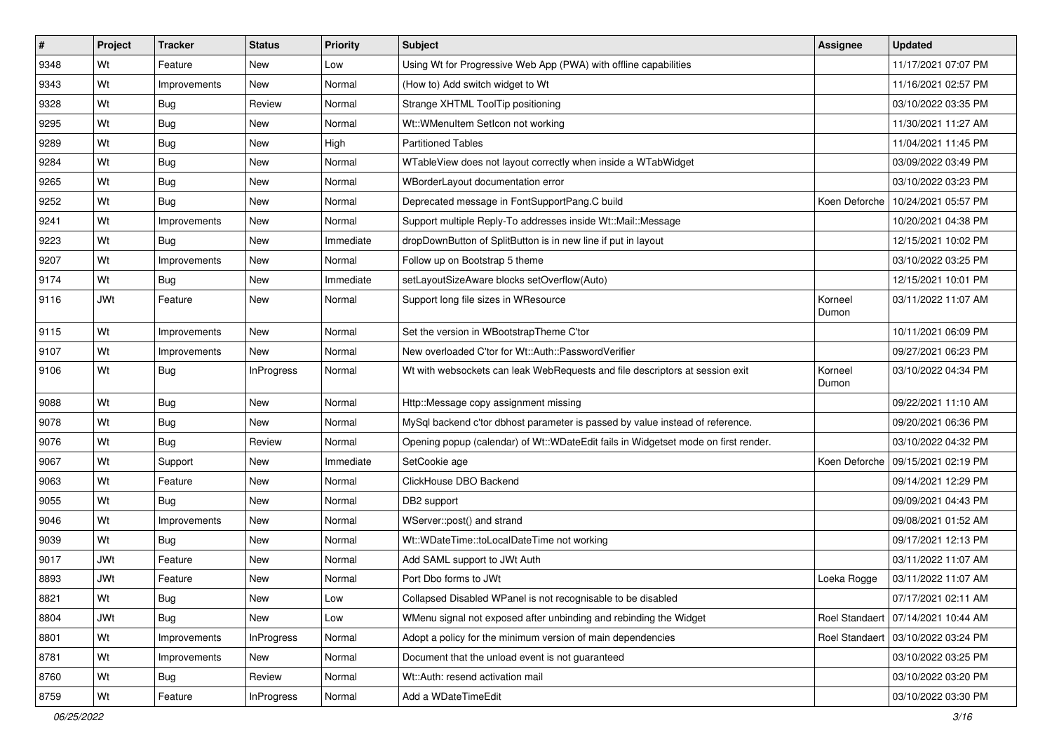| ∦    | Project | <b>Tracker</b> | <b>Status</b>     | Priority  | Subject                                                                            | <b>Assignee</b>  | <b>Updated</b>                       |
|------|---------|----------------|-------------------|-----------|------------------------------------------------------------------------------------|------------------|--------------------------------------|
| 9348 | Wt      | Feature        | New               | Low       | Using Wt for Progressive Web App (PWA) with offline capabilities                   |                  | 11/17/2021 07:07 PM                  |
| 9343 | Wt      | Improvements   | <b>New</b>        | Normal    | (How to) Add switch widget to Wt                                                   |                  | 11/16/2021 02:57 PM                  |
| 9328 | Wt      | Bug            | Review            | Normal    | Strange XHTML ToolTip positioning                                                  |                  | 03/10/2022 03:35 PM                  |
| 9295 | Wt      | Bug            | <b>New</b>        | Normal    | Wt:: WMenuItem SetIcon not working                                                 |                  | 11/30/2021 11:27 AM                  |
| 9289 | Wt      | Bug            | <b>New</b>        | High      | <b>Partitioned Tables</b>                                                          |                  | 11/04/2021 11:45 PM                  |
| 9284 | Wt      | Bug            | <b>New</b>        | Normal    | WTableView does not layout correctly when inside a WTabWidget                      |                  | 03/09/2022 03:49 PM                  |
| 9265 | Wt      | Bug            | New               | Normal    | WBorderLayout documentation error                                                  |                  | 03/10/2022 03:23 PM                  |
| 9252 | Wt      | Bug            | New               | Normal    | Deprecated message in FontSupportPang.C build                                      |                  | Koen Deforche   10/24/2021 05:57 PM  |
| 9241 | Wt      | Improvements   | New               | Normal    | Support multiple Reply-To addresses inside Wt::Mail::Message                       |                  | 10/20/2021 04:38 PM                  |
| 9223 | Wt      | Bug            | <b>New</b>        | Immediate | dropDownButton of SplitButton is in new line if put in layout                      |                  | 12/15/2021 10:02 PM                  |
| 9207 | Wt      | Improvements   | New               | Normal    | Follow up on Bootstrap 5 theme                                                     |                  | 03/10/2022 03:25 PM                  |
| 9174 | Wt      | Bug            | New               | Immediate | setLayoutSizeAware blocks setOverflow(Auto)                                        |                  | 12/15/2021 10:01 PM                  |
| 9116 | JWt     | Feature        | New               | Normal    | Support long file sizes in WResource                                               | Korneel<br>Dumon | 03/11/2022 11:07 AM                  |
| 9115 | Wt      | Improvements   | New               | Normal    | Set the version in WBootstrapTheme C'tor                                           |                  | 10/11/2021 06:09 PM                  |
| 9107 | Wt      | Improvements   | <b>New</b>        | Normal    | New overloaded C'tor for Wt::Auth::PasswordVerifier                                |                  | 09/27/2021 06:23 PM                  |
| 9106 | Wt      | Bug            | <b>InProgress</b> | Normal    | Wt with websockets can leak WebRequests and file descriptors at session exit       | Korneel<br>Dumon | 03/10/2022 04:34 PM                  |
| 9088 | Wt      | Bug            | New               | Normal    | Http::Message copy assignment missing                                              |                  | 09/22/2021 11:10 AM                  |
| 9078 | Wt      | Bug            | New               | Normal    | MySql backend c'tor dbhost parameter is passed by value instead of reference.      |                  | 09/20/2021 06:36 PM                  |
| 9076 | Wt      | Bug            | Review            | Normal    | Opening popup (calendar) of Wt::WDateEdit fails in Widgetset mode on first render. |                  | 03/10/2022 04:32 PM                  |
| 9067 | Wt      | Support        | New               | Immediate | SetCookie age                                                                      |                  | Koen Deforche   09/15/2021 02:19 PM  |
| 9063 | Wt      | Feature        | New               | Normal    | ClickHouse DBO Backend                                                             |                  | 09/14/2021 12:29 PM                  |
| 9055 | Wt      | Bug            | New               | Normal    | DB2 support                                                                        |                  | 09/09/2021 04:43 PM                  |
| 9046 | Wt      | Improvements   | New               | Normal    | WServer::post() and strand                                                         |                  | 09/08/2021 01:52 AM                  |
| 9039 | Wt      | Bug            | New               | Normal    | Wt::WDateTime::toLocalDateTime not working                                         |                  | 09/17/2021 12:13 PM                  |
| 9017 | JWt     | Feature        | New               | Normal    | Add SAML support to JWt Auth                                                       |                  | 03/11/2022 11:07 AM                  |
| 8893 | JWt     | Feature        | New               | Normal    | Port Dbo forms to JWt                                                              | Loeka Rogge      | 03/11/2022 11:07 AM                  |
| 8821 | Wt      | Bug            | New               | Low       | Collapsed Disabled WPanel is not recognisable to be disabled                       |                  | 07/17/2021 02:11 AM                  |
| 8804 | JWt     | Bug            | New               | Low       | WMenu signal not exposed after unbinding and rebinding the Widget                  |                  | Roel Standaert   07/14/2021 10:44 AM |
| 8801 | Wt      | Improvements   | InProgress        | Normal    | Adopt a policy for the minimum version of main dependencies                        |                  | Roel Standaert   03/10/2022 03:24 PM |
| 8781 | Wt      | Improvements   | New               | Normal    | Document that the unload event is not guaranteed                                   |                  | 03/10/2022 03:25 PM                  |
| 8760 | Wt      | <b>Bug</b>     | Review            | Normal    | Wt::Auth: resend activation mail                                                   |                  | 03/10/2022 03:20 PM                  |
| 8759 | Wt      | Feature        | InProgress        | Normal    | Add a WDateTimeEdit                                                                |                  | 03/10/2022 03:30 PM                  |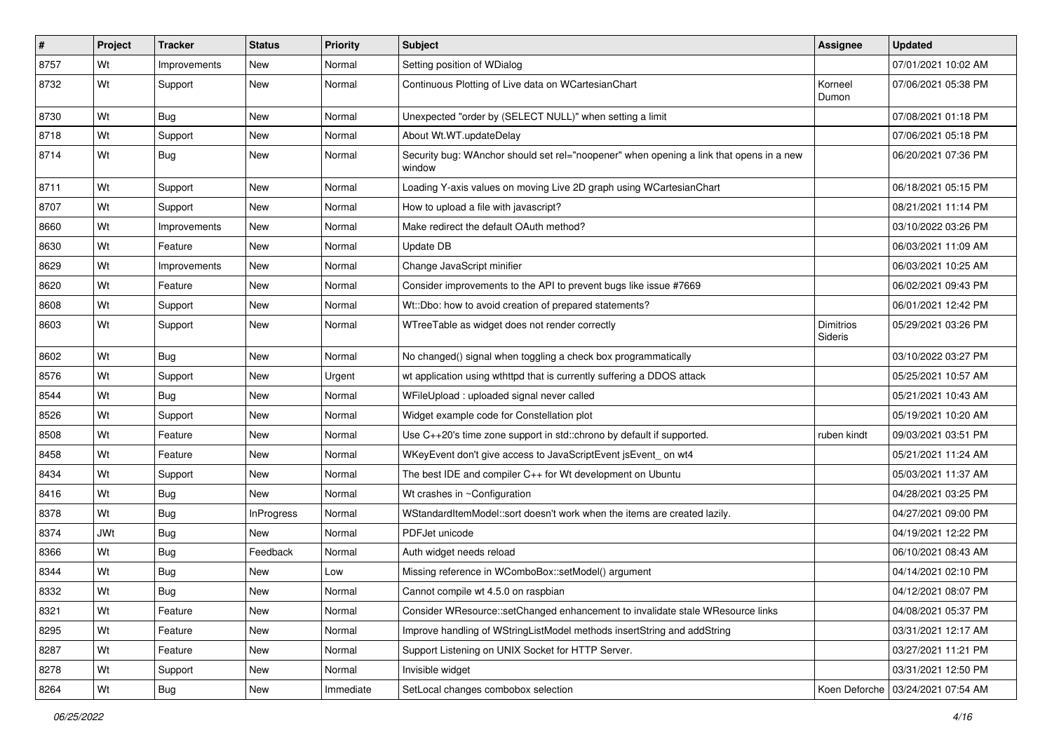| $\sharp$ | Project    | <b>Tracker</b> | <b>Status</b>     | <b>Priority</b> | <b>Subject</b>                                                                                    | Assignee             | <b>Updated</b>                      |
|----------|------------|----------------|-------------------|-----------------|---------------------------------------------------------------------------------------------------|----------------------|-------------------------------------|
| 8757     | Wt         | Improvements   | New               | Normal          | Setting position of WDialog                                                                       |                      | 07/01/2021 10:02 AM                 |
| 8732     | Wt         | Support        | New               | Normal          | Continuous Plotting of Live data on WCartesianChart                                               | Korneel<br>Dumon     | 07/06/2021 05:38 PM                 |
| 8730     | Wt         | Bug            | New               | Normal          | Unexpected "order by (SELECT NULL)" when setting a limit                                          |                      | 07/08/2021 01:18 PM                 |
| 8718     | Wt         | Support        | New               | Normal          | About Wt.WT.updateDelay                                                                           |                      | 07/06/2021 05:18 PM                 |
| 8714     | Wt         | Bug            | New               | Normal          | Security bug: WAnchor should set rel="noopener" when opening a link that opens in a new<br>window |                      | 06/20/2021 07:36 PM                 |
| 8711     | Wt         | Support        | New               | Normal          | Loading Y-axis values on moving Live 2D graph using WCartesianChart                               |                      | 06/18/2021 05:15 PM                 |
| 8707     | Wt         | Support        | New               | Normal          | How to upload a file with javascript?                                                             |                      | 08/21/2021 11:14 PM                 |
| 8660     | Wt         | Improvements   | New               | Normal          | Make redirect the default OAuth method?                                                           |                      | 03/10/2022 03:26 PM                 |
| 8630     | Wt         | Feature        | New               | Normal          | Update DB                                                                                         |                      | 06/03/2021 11:09 AM                 |
| 8629     | Wt         | Improvements   | New               | Normal          | Change JavaScript minifier                                                                        |                      | 06/03/2021 10:25 AM                 |
| 8620     | Wt         | Feature        | New               | Normal          | Consider improvements to the API to prevent bugs like issue #7669                                 |                      | 06/02/2021 09:43 PM                 |
| 8608     | Wt         | Support        | New               | Normal          | Wt::Dbo: how to avoid creation of prepared statements?                                            |                      | 06/01/2021 12:42 PM                 |
| 8603     | Wt         | Support        | New               | Normal          | WTreeTable as widget does not render correctly                                                    | Dimitrios<br>Sideris | 05/29/2021 03:26 PM                 |
| 8602     | Wt         | Bug            | New               | Normal          | No changed() signal when toggling a check box programmatically                                    |                      | 03/10/2022 03:27 PM                 |
| 8576     | Wt         | Support        | New               | Urgent          | wt application using wthttpd that is currently suffering a DDOS attack                            |                      | 05/25/2021 10:57 AM                 |
| 8544     | Wt         | Bug            | New               | Normal          | WFileUpload : uploaded signal never called                                                        |                      | 05/21/2021 10:43 AM                 |
| 8526     | Wt         | Support        | New               | Normal          | Widget example code for Constellation plot                                                        |                      | 05/19/2021 10:20 AM                 |
| 8508     | Wt         | Feature        | New               | Normal          | Use C++20's time zone support in std::chrono by default if supported.                             | ruben kindt          | 09/03/2021 03:51 PM                 |
| 8458     | Wt         | Feature        | New               | Normal          | WKeyEvent don't give access to JavaScriptEvent jsEvent_on wt4                                     |                      | 05/21/2021 11:24 AM                 |
| 8434     | Wt         | Support        | New               | Normal          | The best IDE and compiler C++ for Wt development on Ubuntu                                        |                      | 05/03/2021 11:37 AM                 |
| 8416     | Wt         | Bug            | New               | Normal          | Wt crashes in ~Configuration                                                                      |                      | 04/28/2021 03:25 PM                 |
| 8378     | Wt         | Bug            | <b>InProgress</b> | Normal          | WStandardItemModel::sort doesn't work when the items are created lazily.                          |                      | 04/27/2021 09:00 PM                 |
| 8374     | <b>JWt</b> | Bug            | <b>New</b>        | Normal          | PDFJet unicode                                                                                    |                      | 04/19/2021 12:22 PM                 |
| 8366     | Wt         | Bug            | Feedback          | Normal          | Auth widget needs reload                                                                          |                      | 06/10/2021 08:43 AM                 |
| 8344     | Wt         | Bug            | New               | Low             | Missing reference in WComboBox::setModel() argument                                               |                      | 04/14/2021 02:10 PM                 |
| 8332     | Wt         | Bug            | New               | Normal          | Cannot compile wt 4.5.0 on raspbian                                                               |                      | 04/12/2021 08:07 PM                 |
| 8321     | Wt         | Feature        | New               | Normal          | Consider WResource::setChanged enhancement to invalidate stale WResource links                    |                      | 04/08/2021 05:37 PM                 |
| 8295     | Wt         | Feature        | New               | Normal          | Improve handling of WStringListModel methods insertString and addString                           |                      | 03/31/2021 12:17 AM                 |
| 8287     | Wt         | Feature        | New               | Normal          | Support Listening on UNIX Socket for HTTP Server.                                                 |                      | 03/27/2021 11:21 PM                 |
| 8278     | Wt         | Support        | New               | Normal          | Invisible widget                                                                                  |                      | 03/31/2021 12:50 PM                 |
| 8264     | Wt         | <b>Bug</b>     | New               | Immediate       | SetLocal changes combobox selection                                                               |                      | Koen Deforche   03/24/2021 07:54 AM |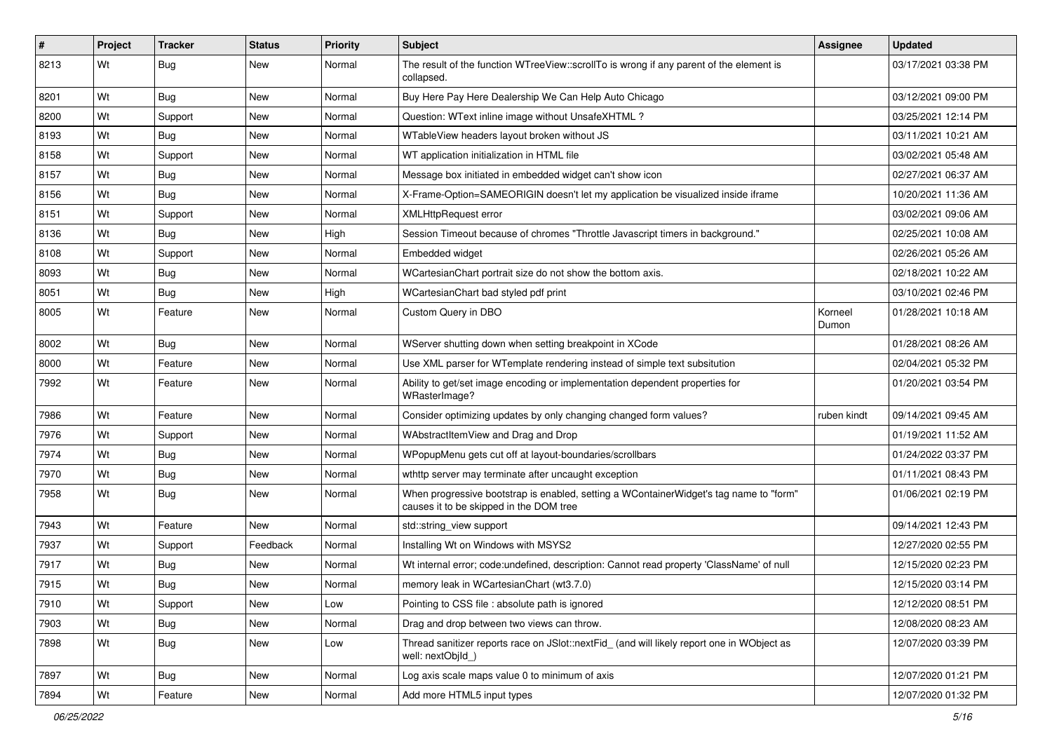| $\vert$ # | Project | <b>Tracker</b> | <b>Status</b> | Priority | <b>Subject</b>                                                                                                                    | Assignee         | <b>Updated</b>      |
|-----------|---------|----------------|---------------|----------|-----------------------------------------------------------------------------------------------------------------------------------|------------------|---------------------|
| 8213      | Wt      | Bug            | New           | Normal   | The result of the function WTreeView::scrollTo is wrong if any parent of the element is<br>collapsed.                             |                  | 03/17/2021 03:38 PM |
| 8201      | Wt      | Bug            | New           | Normal   | Buy Here Pay Here Dealership We Can Help Auto Chicago                                                                             |                  | 03/12/2021 09:00 PM |
| 8200      | Wt      | Support        | New           | Normal   | Question: WText inline image without UnsafeXHTML?                                                                                 |                  | 03/25/2021 12:14 PM |
| 8193      | Wt      | Bug            | New           | Normal   | WTableView headers layout broken without JS                                                                                       |                  | 03/11/2021 10:21 AM |
| 8158      | Wt      | Support        | New           | Normal   | WT application initialization in HTML file                                                                                        |                  | 03/02/2021 05:48 AM |
| 8157      | Wt      | Bug            | <b>New</b>    | Normal   | Message box initiated in embedded widget can't show icon                                                                          |                  | 02/27/2021 06:37 AM |
| 8156      | Wt      | Bug            | <b>New</b>    | Normal   | X-Frame-Option=SAMEORIGIN doesn't let my application be visualized inside iframe                                                  |                  | 10/20/2021 11:36 AM |
| 8151      | Wt      | Support        | New           | Normal   | <b>XMLHttpRequest error</b>                                                                                                       |                  | 03/02/2021 09:06 AM |
| 8136      | Wt      | Bug            | <b>New</b>    | High     | Session Timeout because of chromes "Throttle Javascript timers in background."                                                    |                  | 02/25/2021 10:08 AM |
| 8108      | Wt      | Support        | New           | Normal   | Embedded widget                                                                                                                   |                  | 02/26/2021 05:26 AM |
| 8093      | Wt      | Bug            | New           | Normal   | WCartesianChart portrait size do not show the bottom axis.                                                                        |                  | 02/18/2021 10:22 AM |
| 8051      | Wt      | Bug            | <b>New</b>    | High     | WCartesianChart bad styled pdf print                                                                                              |                  | 03/10/2021 02:46 PM |
| 8005      | Wt      | Feature        | New           | Normal   | Custom Query in DBO                                                                                                               | Korneel<br>Dumon | 01/28/2021 10:18 AM |
| 8002      | Wt      | Bug            | <b>New</b>    | Normal   | WServer shutting down when setting breakpoint in XCode                                                                            |                  | 01/28/2021 08:26 AM |
| 8000      | Wt      | Feature        | New           | Normal   | Use XML parser for WTemplate rendering instead of simple text subsitution                                                         |                  | 02/04/2021 05:32 PM |
| 7992      | Wt      | Feature        | <b>New</b>    | Normal   | Ability to get/set image encoding or implementation dependent properties for<br>WRasterImage?                                     |                  | 01/20/2021 03:54 PM |
| 7986      | Wt      | Feature        | <b>New</b>    | Normal   | Consider optimizing updates by only changing changed form values?                                                                 | ruben kindt      | 09/14/2021 09:45 AM |
| 7976      | Wt      | Support        | <b>New</b>    | Normal   | WAbstractItemView and Drag and Drop                                                                                               |                  | 01/19/2021 11:52 AM |
| 7974      | Wt      | Bug            | New           | Normal   | WPopupMenu gets cut off at layout-boundaries/scrollbars                                                                           |                  | 01/24/2022 03:37 PM |
| 7970      | Wt      | Bug            | New           | Normal   | wthttp server may terminate after uncaught exception                                                                              |                  | 01/11/2021 08:43 PM |
| 7958      | Wt      | Bug            | New           | Normal   | When progressive bootstrap is enabled, setting a WContainerWidget's tag name to "form"<br>causes it to be skipped in the DOM tree |                  | 01/06/2021 02:19 PM |
| 7943      | Wt      | Feature        | <b>New</b>    | Normal   | std::string_view support                                                                                                          |                  | 09/14/2021 12:43 PM |
| 7937      | Wt      | Support        | Feedback      | Normal   | Installing Wt on Windows with MSYS2                                                                                               |                  | 12/27/2020 02:55 PM |
| 7917      | Wt      | Bug            | New           | Normal   | Wt internal error; code:undefined, description: Cannot read property 'ClassName' of null                                          |                  | 12/15/2020 02:23 PM |
| 7915      | Wt      | Bug            | <b>New</b>    | Normal   | memory leak in WCartesianChart (wt3.7.0)                                                                                          |                  | 12/15/2020 03:14 PM |
| 7910      | Wt      | Support        | New           | Low      | Pointing to CSS file : absolute path is ignored                                                                                   |                  | 12/12/2020 08:51 PM |
| 7903      | Wt      | Bug            | New           | Normal   | Drag and drop between two views can throw.                                                                                        |                  | 12/08/2020 08:23 AM |
| 7898      | Wt      | Bug            | New           | Low      | Thread sanitizer reports race on JSlot::nextFid_ (and will likely report one in WObject as<br>well: nextObjId_)                   |                  | 12/07/2020 03:39 PM |
| 7897      | Wt      | Bug            | New           | Normal   | Log axis scale maps value 0 to minimum of axis                                                                                    |                  | 12/07/2020 01:21 PM |
| 7894      | Wt      | Feature        | New           | Normal   | Add more HTML5 input types                                                                                                        |                  | 12/07/2020 01:32 PM |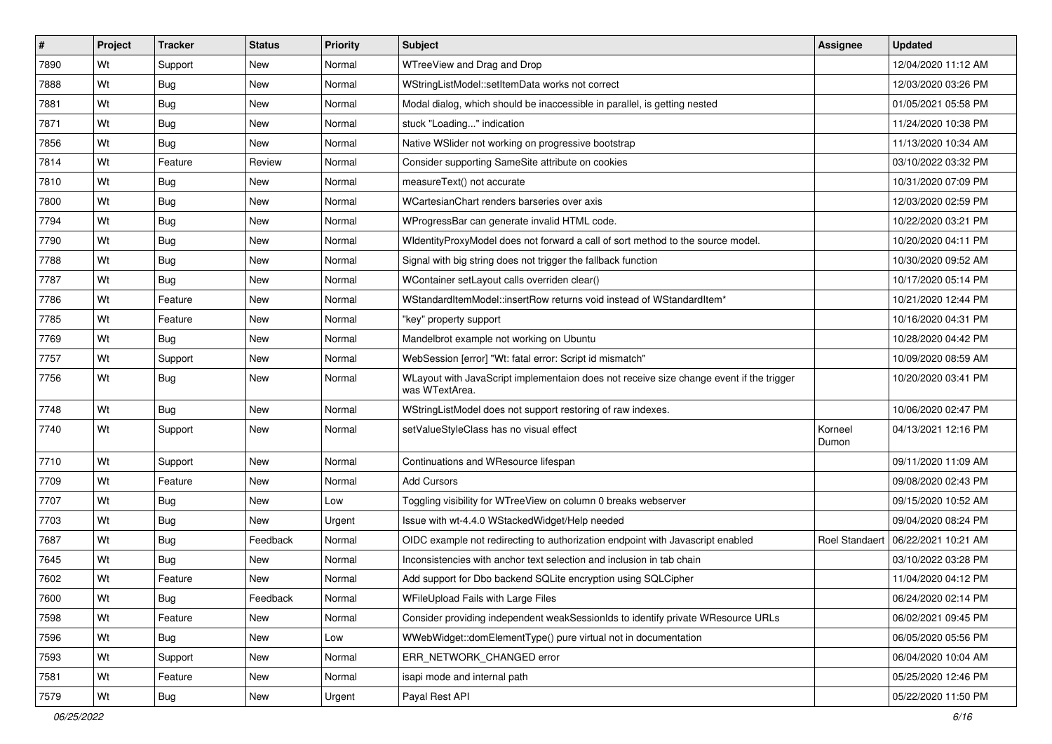| #    | Project | <b>Tracker</b> | <b>Status</b> | Priority | <b>Subject</b>                                                                                            | Assignee         | <b>Updated</b>                     |
|------|---------|----------------|---------------|----------|-----------------------------------------------------------------------------------------------------------|------------------|------------------------------------|
| 7890 | Wt      | Support        | New           | Normal   | WTreeView and Drag and Drop                                                                               |                  | 12/04/2020 11:12 AM                |
| 7888 | Wt      | Bug            | New           | Normal   | WStringListModel::setItemData works not correct                                                           |                  | 12/03/2020 03:26 PM                |
| 7881 | Wt      | Bug            | New           | Normal   | Modal dialog, which should be inaccessible in parallel, is getting nested                                 |                  | 01/05/2021 05:58 PM                |
| 7871 | Wt      | Bug            | New           | Normal   | stuck "Loading" indication                                                                                |                  | 11/24/2020 10:38 PM                |
| 7856 | Wt      | <b>Bug</b>     | New           | Normal   | Native WSIider not working on progressive bootstrap                                                       |                  | 11/13/2020 10:34 AM                |
| 7814 | Wt      | Feature        | Review        | Normal   | Consider supporting SameSite attribute on cookies                                                         |                  | 03/10/2022 03:32 PM                |
| 7810 | Wt      | Bug            | New           | Normal   | measureText() not accurate                                                                                |                  | 10/31/2020 07:09 PM                |
| 7800 | Wt      | Bug            | New           | Normal   | WCartesianChart renders barseries over axis                                                               |                  | 12/03/2020 02:59 PM                |
| 7794 | Wt      | Bug            | <b>New</b>    | Normal   | WProgressBar can generate invalid HTML code.                                                              |                  | 10/22/2020 03:21 PM                |
| 7790 | Wt      | <b>Bug</b>     | New           | Normal   | WidentityProxyModel does not forward a call of sort method to the source model.                           |                  | 10/20/2020 04:11 PM                |
| 7788 | Wt      | Bug            | New           | Normal   | Signal with big string does not trigger the fallback function                                             |                  | 10/30/2020 09:52 AM                |
| 7787 | Wt      | Bug            | New           | Normal   | WContainer setLayout calls overriden clear()                                                              |                  | 10/17/2020 05:14 PM                |
| 7786 | Wt      | Feature        | <b>New</b>    | Normal   | WStandardItemModel::insertRow returns void instead of WStandardItem*                                      |                  | 10/21/2020 12:44 PM                |
| 7785 | Wt      | Feature        | New           | Normal   | "key" property support                                                                                    |                  | 10/16/2020 04:31 PM                |
| 7769 | Wt      | Bug            | <b>New</b>    | Normal   | Mandelbrot example not working on Ubuntu                                                                  |                  | 10/28/2020 04:42 PM                |
| 7757 | Wt      | Support        | New           | Normal   | WebSession [error] "Wt: fatal error: Script id mismatch"                                                  |                  | 10/09/2020 08:59 AM                |
| 7756 | Wt      | Bug            | <b>New</b>    | Normal   | WLayout with JavaScript implementaion does not receive size change event if the trigger<br>was WTextArea. |                  | 10/20/2020 03:41 PM                |
| 7748 | Wt      | Bug            | New           | Normal   | WStringListModel does not support restoring of raw indexes.                                               |                  | 10/06/2020 02:47 PM                |
| 7740 | Wt      | Support        | New           | Normal   | setValueStyleClass has no visual effect                                                                   | Korneel<br>Dumon | 04/13/2021 12:16 PM                |
| 7710 | Wt      | Support        | New           | Normal   | Continuations and WResource lifespan                                                                      |                  | 09/11/2020 11:09 AM                |
| 7709 | Wt      | Feature        | <b>New</b>    | Normal   | <b>Add Cursors</b>                                                                                        |                  | 09/08/2020 02:43 PM                |
| 7707 | Wt      | Bug            | New           | Low      | Toggling visibility for WTreeView on column 0 breaks webserver                                            |                  | 09/15/2020 10:52 AM                |
| 7703 | Wt      | Bug            | <b>New</b>    | Urgent   | Issue with wt-4.4.0 WStackedWidget/Help needed                                                            |                  | 09/04/2020 08:24 PM                |
| 7687 | Wt      | <b>Bug</b>     | Feedback      | Normal   | OIDC example not redirecting to authorization endpoint with Javascript enabled                            |                  | Roel Standaert 06/22/2021 10:21 AM |
| 7645 | Wt      | Bug            | New           | Normal   | Inconsistencies with anchor text selection and inclusion in tab chain                                     |                  | 03/10/2022 03:28 PM                |
| 7602 | Wt      | Feature        | New           | Normal   | Add support for Dbo backend SQLite encryption using SQLCipher                                             |                  | 11/04/2020 04:12 PM                |
| 7600 | Wt      | Bug            | Feedback      | Normal   | WFileUpload Fails with Large Files                                                                        |                  | 06/24/2020 02:14 PM                |
| 7598 | Wt      | Feature        | New           | Normal   | Consider providing independent weakSessionIds to identify private WResource URLs                          |                  | 06/02/2021 09:45 PM                |
| 7596 | Wt      | Bug            | New           | Low      | WWebWidget::domElementType() pure virtual not in documentation                                            |                  | 06/05/2020 05:56 PM                |
| 7593 | Wt      | Support        | New           | Normal   | ERR_NETWORK_CHANGED error                                                                                 |                  | 06/04/2020 10:04 AM                |
| 7581 | Wt      | Feature        | New           | Normal   | isapi mode and internal path                                                                              |                  | 05/25/2020 12:46 PM                |
| 7579 | Wt      | <b>Bug</b>     | New           | Urgent   | Payal Rest API                                                                                            |                  | 05/22/2020 11:50 PM                |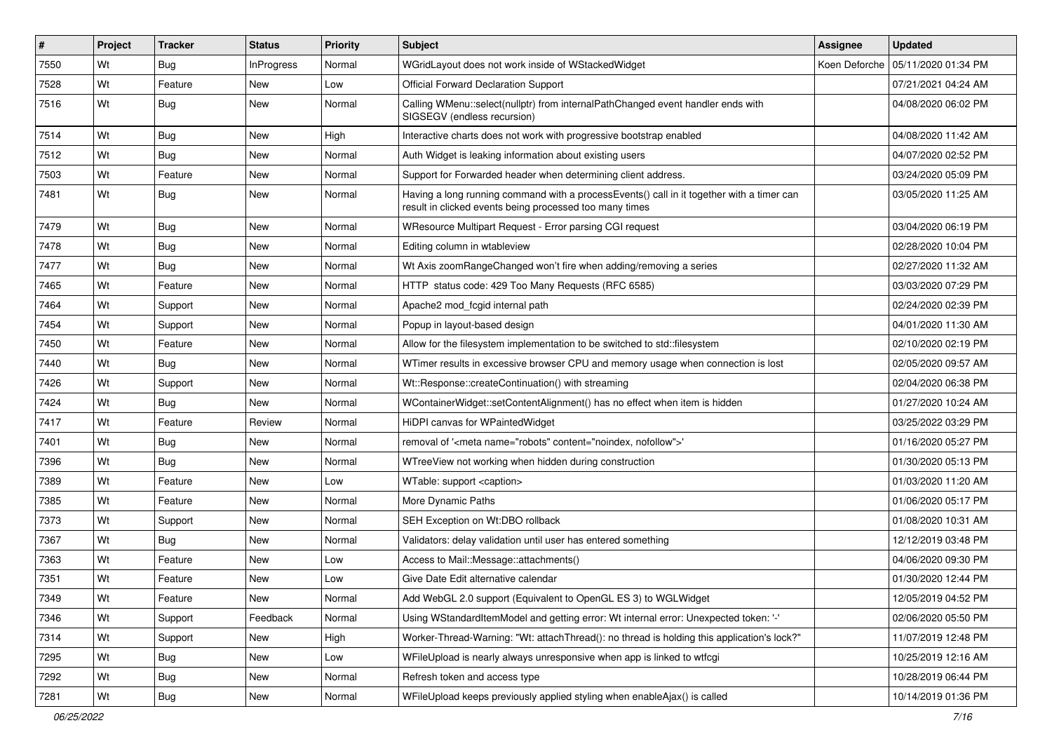| $\vert$ # | Project | <b>Tracker</b> | <b>Status</b>     | Priority | <b>Subject</b>                                                                                                                                       | Assignee      | <b>Updated</b>      |
|-----------|---------|----------------|-------------------|----------|------------------------------------------------------------------------------------------------------------------------------------------------------|---------------|---------------------|
| 7550      | Wt      | Bug            | <b>InProgress</b> | Normal   | WGridLayout does not work inside of WStackedWidget                                                                                                   | Koen Deforche | 05/11/2020 01:34 PM |
| 7528      | Wt      | Feature        | <b>New</b>        | Low      | <b>Official Forward Declaration Support</b>                                                                                                          |               | 07/21/2021 04:24 AM |
| 7516      | Wt      | Bug            | New               | Normal   | Calling WMenu::select(nullptr) from internalPathChanged event handler ends with<br>SIGSEGV (endless recursion)                                       |               | 04/08/2020 06:02 PM |
| 7514      | Wt      | Bug            | <b>New</b>        | High     | Interactive charts does not work with progressive bootstrap enabled                                                                                  |               | 04/08/2020 11:42 AM |
| 7512      | Wt      | <b>Bug</b>     | New               | Normal   | Auth Widget is leaking information about existing users                                                                                              |               | 04/07/2020 02:52 PM |
| 7503      | Wt      | Feature        | New               | Normal   | Support for Forwarded header when determining client address.                                                                                        |               | 03/24/2020 05:09 PM |
| 7481      | Wt      | Bug            | New               | Normal   | Having a long running command with a processEvents() call in it together with a timer can<br>result in clicked events being processed too many times |               | 03/05/2020 11:25 AM |
| 7479      | Wt      | Bug            | <b>New</b>        | Normal   | WResource Multipart Request - Error parsing CGI request                                                                                              |               | 03/04/2020 06:19 PM |
| 7478      | Wt      | Bug            | New               | Normal   | Editing column in wtableview                                                                                                                         |               | 02/28/2020 10:04 PM |
| 7477      | Wt      | Bug            | <b>New</b>        | Normal   | Wt Axis zoomRangeChanged won't fire when adding/removing a series                                                                                    |               | 02/27/2020 11:32 AM |
| 7465      | Wt      | Feature        | <b>New</b>        | Normal   | HTTP status code: 429 Too Many Requests (RFC 6585)                                                                                                   |               | 03/03/2020 07:29 PM |
| 7464      | Wt      | Support        | New               | Normal   | Apache2 mod fcgid internal path                                                                                                                      |               | 02/24/2020 02:39 PM |
| 7454      | Wt      | Support        | <b>New</b>        | Normal   | Popup in layout-based design                                                                                                                         |               | 04/01/2020 11:30 AM |
| 7450      | Wt      | Feature        | <b>New</b>        | Normal   | Allow for the filesystem implementation to be switched to std::filesystem                                                                            |               | 02/10/2020 02:19 PM |
| 7440      | Wt      | Bug            | New               | Normal   | WTimer results in excessive browser CPU and memory usage when connection is lost                                                                     |               | 02/05/2020 09:57 AM |
| 7426      | Wt      | Support        | <b>New</b>        | Normal   | Wt::Response::createContinuation() with streaming                                                                                                    |               | 02/04/2020 06:38 PM |
| 7424      | Wt      | Bug            | New               | Normal   | WContainerWidget::setContentAlignment() has no effect when item is hidden                                                                            |               | 01/27/2020 10:24 AM |
| 7417      | Wt      | Feature        | Review            | Normal   | HiDPI canvas for WPaintedWidget                                                                                                                      |               | 03/25/2022 03:29 PM |
| 7401      | Wt      | Bug            | <b>New</b>        | Normal   | removal of ' <meta content="noindex, nofollow" name="robots"/> '                                                                                     |               | 01/16/2020 05:27 PM |
| 7396      | Wt      | Bug            | New               | Normal   | WTreeView not working when hidden during construction                                                                                                |               | 01/30/2020 05:13 PM |
| 7389      | Wt      | Feature        | <b>New</b>        | Low      | WTable: support <caption></caption>                                                                                                                  |               | 01/03/2020 11:20 AM |
| 7385      | Wt      | Feature        | <b>New</b>        | Normal   | More Dynamic Paths                                                                                                                                   |               | 01/06/2020 05:17 PM |
| 7373      | Wt      | Support        | New               | Normal   | SEH Exception on Wt:DBO rollback                                                                                                                     |               | 01/08/2020 10:31 AM |
| 7367      | Wt      | Bug            | <b>New</b>        | Normal   | Validators: delay validation until user has entered something                                                                                        |               | 12/12/2019 03:48 PM |
| 7363      | Wt      | Feature        | New               | Low      | Access to Mail::Message::attachments()                                                                                                               |               | 04/06/2020 09:30 PM |
| 7351      | Wt      | Feature        | New               | Low      | Give Date Edit alternative calendar                                                                                                                  |               | 01/30/2020 12:44 PM |
| 7349      | Wt      | Feature        | New               | Normal   | Add WebGL 2.0 support (Equivalent to OpenGL ES 3) to WGLWidget                                                                                       |               | 12/05/2019 04:52 PM |
| 7346      | Wt      | Support        | Feedback          | Normal   | Using WStandardItemModel and getting error: Wt internal error: Unexpected token: '-'                                                                 |               | 02/06/2020 05:50 PM |
| 7314      | Wt      | Support        | New               | High     | Worker-Thread-Warning: "Wt: attachThread(): no thread is holding this application's lock?"                                                           |               | 11/07/2019 12:48 PM |
| 7295      | Wt      | <b>Bug</b>     | New               | Low      | WFileUpload is nearly always unresponsive when app is linked to wtfcgi                                                                               |               | 10/25/2019 12:16 AM |
| 7292      | Wt      | Bug            | New               | Normal   | Refresh token and access type                                                                                                                        |               | 10/28/2019 06:44 PM |
| 7281      | Wt      | Bug            | New               | Normal   | WFileUpload keeps previously applied styling when enableAjax() is called                                                                             |               | 10/14/2019 01:36 PM |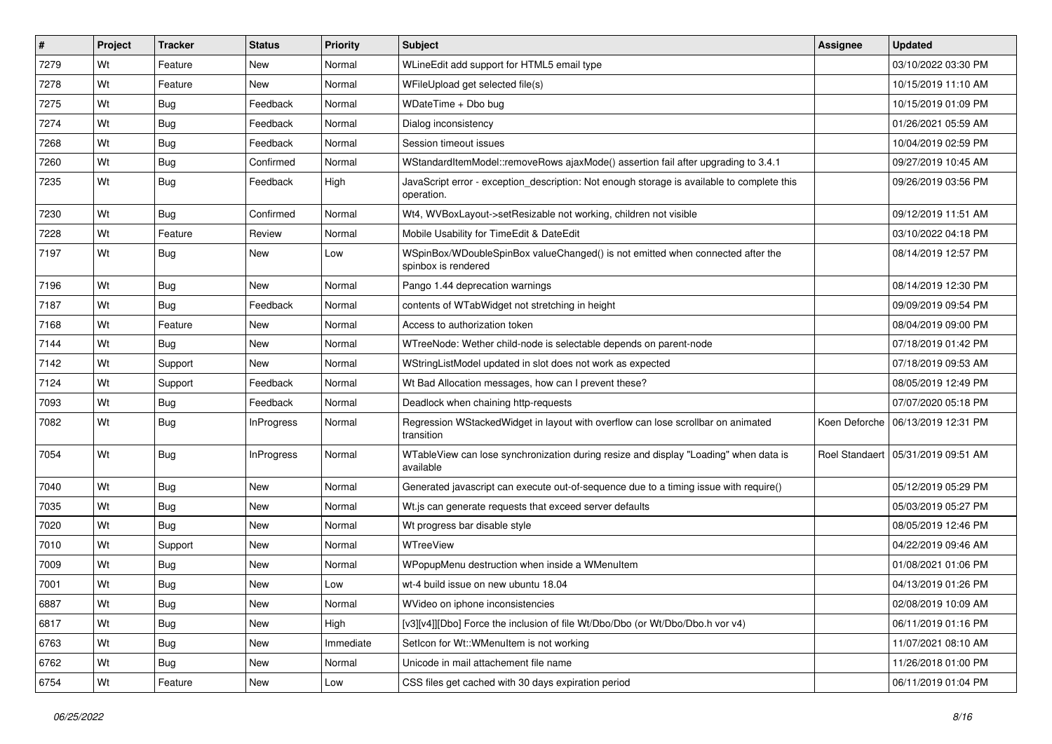| #    | Project | <b>Tracker</b> | <b>Status</b>     | <b>Priority</b> | Subject                                                                                                  | <b>Assignee</b> | <b>Updated</b>                      |
|------|---------|----------------|-------------------|-----------------|----------------------------------------------------------------------------------------------------------|-----------------|-------------------------------------|
| 7279 | Wt      | Feature        | New               | Normal          | WLineEdit add support for HTML5 email type                                                               |                 | 03/10/2022 03:30 PM                 |
| 7278 | Wt      | Feature        | <b>New</b>        | Normal          | WFileUpload get selected file(s)                                                                         |                 | 10/15/2019 11:10 AM                 |
| 7275 | Wt      | Bug            | Feedback          | Normal          | WDateTime + Dbo bug                                                                                      |                 | 10/15/2019 01:09 PM                 |
| 7274 | Wt      | Bug            | Feedback          | Normal          | Dialog inconsistency                                                                                     |                 | 01/26/2021 05:59 AM                 |
| 7268 | Wt      | Bug            | Feedback          | Normal          | Session timeout issues                                                                                   |                 | 10/04/2019 02:59 PM                 |
| 7260 | Wt      | Bug            | Confirmed         | Normal          | WStandardItemModel::removeRows ajaxMode() assertion fail after upgrading to 3.4.1                        |                 | 09/27/2019 10:45 AM                 |
| 7235 | Wt      | Bug            | Feedback          | High            | JavaScript error - exception_description: Not enough storage is available to complete this<br>operation. |                 | 09/26/2019 03:56 PM                 |
| 7230 | Wt      | Bug            | Confirmed         | Normal          | Wt4, WVBoxLayout->setResizable not working, children not visible                                         |                 | 09/12/2019 11:51 AM                 |
| 7228 | Wt      | Feature        | Review            | Normal          | Mobile Usability for TimeEdit & DateEdit                                                                 |                 | 03/10/2022 04:18 PM                 |
| 7197 | Wt      | Bug            | New               | Low             | WSpinBox/WDoubleSpinBox valueChanged() is not emitted when connected after the<br>spinbox is rendered    |                 | 08/14/2019 12:57 PM                 |
| 7196 | Wt      | Bug            | <b>New</b>        | Normal          | Pango 1.44 deprecation warnings                                                                          |                 | 08/14/2019 12:30 PM                 |
| 7187 | Wt      | Bug            | Feedback          | Normal          | contents of WTabWidget not stretching in height                                                          |                 | 09/09/2019 09:54 PM                 |
| 7168 | Wt      | Feature        | New               | Normal          | Access to authorization token                                                                            |                 | 08/04/2019 09:00 PM                 |
| 7144 | Wt      | Bug            | <b>New</b>        | Normal          | WTreeNode: Wether child-node is selectable depends on parent-node                                        |                 | 07/18/2019 01:42 PM                 |
| 7142 | Wt      | Support        | New               | Normal          | WStringListModel updated in slot does not work as expected                                               |                 | 07/18/2019 09:53 AM                 |
| 7124 | Wt      | Support        | Feedback          | Normal          | Wt Bad Allocation messages, how can I prevent these?                                                     |                 | 08/05/2019 12:49 PM                 |
| 7093 | Wt      | Bug            | Feedback          | Normal          | Deadlock when chaining http-requests                                                                     |                 | 07/07/2020 05:18 PM                 |
| 7082 | Wt      | <b>Bug</b>     | <b>InProgress</b> | Normal          | Regression WStackedWidget in layout with overflow can lose scrollbar on animated<br>transition           |                 | Koen Deforche   06/13/2019 12:31 PM |
| 7054 | Wt      | Bug            | <b>InProgress</b> | Normal          | WTableView can lose synchronization during resize and display "Loading" when data is<br>available        | Roel Standaert  | 05/31/2019 09:51 AM                 |
| 7040 | Wt      | Bug            | <b>New</b>        | Normal          | Generated javascript can execute out-of-sequence due to a timing issue with require()                    |                 | 05/12/2019 05:29 PM                 |
| 7035 | Wt      | Bug            | <b>New</b>        | Normal          | Wt.js can generate requests that exceed server defaults                                                  |                 | 05/03/2019 05:27 PM                 |
| 7020 | Wt      | <b>Bug</b>     | <b>New</b>        | Normal          | Wt progress bar disable style                                                                            |                 | 08/05/2019 12:46 PM                 |
| 7010 | Wt      | Support        | New               | Normal          | WTreeView                                                                                                |                 | 04/22/2019 09:46 AM                 |
| 7009 | Wt      | <b>Bug</b>     | New               | Normal          | WPopupMenu destruction when inside a WMenuItem                                                           |                 | 01/08/2021 01:06 PM                 |
| 7001 | Wt      | <b>Bug</b>     | <b>New</b>        | Low             | wt-4 build issue on new ubuntu 18.04                                                                     |                 | 04/13/2019 01:26 PM                 |
| 6887 | Wt      | <b>Bug</b>     | New               | Normal          | WVideo on iphone inconsistencies                                                                         |                 | 02/08/2019 10:09 AM                 |
| 6817 | Wt      | Bug            | <b>New</b>        | High            | [v3][v4]][Dbo] Force the inclusion of file Wt/Dbo/Dbo (or Wt/Dbo/Dbo.h vor v4)                           |                 | 06/11/2019 01:16 PM                 |
| 6763 | Wt      | <b>Bug</b>     | New               | Immediate       | SetIcon for Wt:: WMenuItem is not working                                                                |                 | 11/07/2021 08:10 AM                 |
| 6762 | Wt      | <b>Bug</b>     | New               | Normal          | Unicode in mail attachement file name                                                                    |                 | 11/26/2018 01:00 PM                 |
| 6754 | Wt      | Feature        | New               | Low             | CSS files get cached with 30 days expiration period                                                      |                 | 06/11/2019 01:04 PM                 |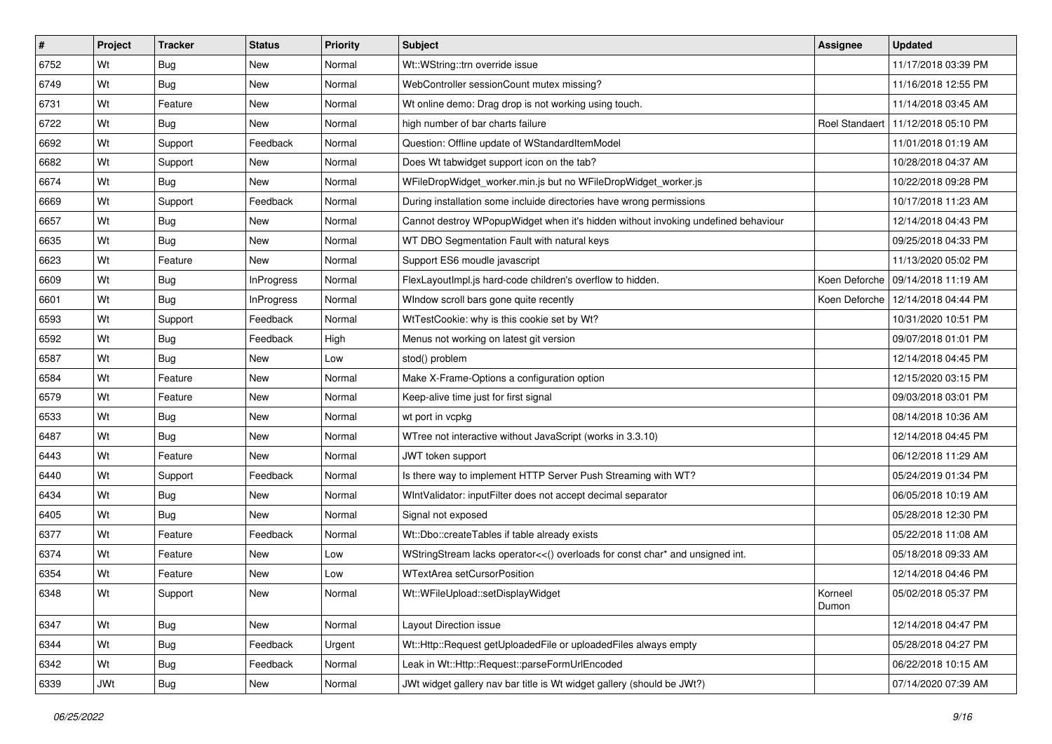| #    | Project | <b>Tracker</b> | <b>Status</b>     | Priority | Subject                                                                           | Assignee         | <b>Updated</b>                       |
|------|---------|----------------|-------------------|----------|-----------------------------------------------------------------------------------|------------------|--------------------------------------|
| 6752 | Wt      | Bug            | New               | Normal   | Wt::WString::trn override issue                                                   |                  | 11/17/2018 03:39 PM                  |
| 6749 | Wt      | Bug            | <b>New</b>        | Normal   | WebController sessionCount mutex missing?                                         |                  | 11/16/2018 12:55 PM                  |
| 6731 | Wt      | Feature        | New               | Normal   | Wt online demo: Drag drop is not working using touch.                             |                  | 11/14/2018 03:45 AM                  |
| 6722 | Wt      | Bug            | New               | Normal   | high number of bar charts failure                                                 |                  | Roel Standaert   11/12/2018 05:10 PM |
| 6692 | Wt      | Support        | Feedback          | Normal   | Question: Offline update of WStandardItemModel                                    |                  | 11/01/2018 01:19 AM                  |
| 6682 | Wt      | Support        | New               | Normal   | Does Wt tabwidget support icon on the tab?                                        |                  | 10/28/2018 04:37 AM                  |
| 6674 | Wt      | Bug            | <b>New</b>        | Normal   | WFileDropWidget_worker.min.js but no WFileDropWidget_worker.js                    |                  | 10/22/2018 09:28 PM                  |
| 6669 | Wt      | Support        | Feedback          | Normal   | During installation some incluide directories have wrong permissions              |                  | 10/17/2018 11:23 AM                  |
| 6657 | Wt      | Bug            | New               | Normal   | Cannot destroy WPopupWidget when it's hidden without invoking undefined behaviour |                  | 12/14/2018 04:43 PM                  |
| 6635 | Wt      | Bug            | <b>New</b>        | Normal   | WT DBO Segmentation Fault with natural keys                                       |                  | 09/25/2018 04:33 PM                  |
| 6623 | Wt      | Feature        | New               | Normal   | Support ES6 moudle javascript                                                     |                  | 11/13/2020 05:02 PM                  |
| 6609 | Wt      | Bug            | <b>InProgress</b> | Normal   | FlexLayoutImpl.js hard-code children's overflow to hidden.                        |                  | Koen Deforche   09/14/2018 11:19 AM  |
| 6601 | Wt      | Bug            | <b>InProgress</b> | Normal   | WIndow scroll bars gone quite recently                                            |                  | Koen Deforche   12/14/2018 04:44 PM  |
| 6593 | Wt      | Support        | Feedback          | Normal   | WtTestCookie: why is this cookie set by Wt?                                       |                  | 10/31/2020 10:51 PM                  |
| 6592 | Wt      | Bug            | Feedback          | High     | Menus not working on latest git version                                           |                  | 09/07/2018 01:01 PM                  |
| 6587 | Wt      | Bug            | <b>New</b>        | Low      | stod() problem                                                                    |                  | 12/14/2018 04:45 PM                  |
| 6584 | Wt      | Feature        | New               | Normal   | Make X-Frame-Options a configuration option                                       |                  | 12/15/2020 03:15 PM                  |
| 6579 | Wt      | Feature        | New               | Normal   | Keep-alive time just for first signal                                             |                  | 09/03/2018 03:01 PM                  |
| 6533 | Wt      | Bug            | New               | Normal   | wt port in vcpkg                                                                  |                  | 08/14/2018 10:36 AM                  |
| 6487 | Wt      | Bug            | New               | Normal   | WTree not interactive without JavaScript (works in 3.3.10)                        |                  | 12/14/2018 04:45 PM                  |
| 6443 | Wt      | Feature        | New               | Normal   | JWT token support                                                                 |                  | 06/12/2018 11:29 AM                  |
| 6440 | Wt      | Support        | Feedback          | Normal   | Is there way to implement HTTP Server Push Streaming with WT?                     |                  | 05/24/2019 01:34 PM                  |
| 6434 | Wt      | Bug            | <b>New</b>        | Normal   | WIntValidator: inputFilter does not accept decimal separator                      |                  | 06/05/2018 10:19 AM                  |
| 6405 | Wt      | Bug            | New               | Normal   | Signal not exposed                                                                |                  | 05/28/2018 12:30 PM                  |
| 6377 | Wt      | Feature        | Feedback          | Normal   | Wt::Dbo::createTables if table already exists                                     |                  | 05/22/2018 11:08 AM                  |
| 6374 | Wt      | Feature        | New               | Low      | WStringStream lacks operator<<() overloads for const char* and unsigned int.      |                  | 05/18/2018 09:33 AM                  |
| 6354 | Wt      | Feature        | New               | Low      | WTextArea setCursorPosition                                                       |                  | 12/14/2018 04:46 PM                  |
| 6348 | Wt      | Support        | New               | Normal   | Wt::WFileUpload::setDisplayWidget                                                 | Korneel<br>Dumon | 05/02/2018 05:37 PM                  |
| 6347 | Wt      | Bug            | New               | Normal   | Layout Direction issue                                                            |                  | 12/14/2018 04:47 PM                  |
| 6344 | Wt      | Bug            | Feedback          | Urgent   | Wt::Http::Request getUploadedFile or uploadedFiles always empty                   |                  | 05/28/2018 04:27 PM                  |
| 6342 | Wt      | <b>Bug</b>     | Feedback          | Normal   | Leak in Wt::Http::Request::parseFormUrlEncoded                                    |                  | 06/22/2018 10:15 AM                  |
| 6339 | JWt     | Bug            | New               | Normal   | JWt widget gallery nav bar title is Wt widget gallery (should be JWt?)            |                  | 07/14/2020 07:39 AM                  |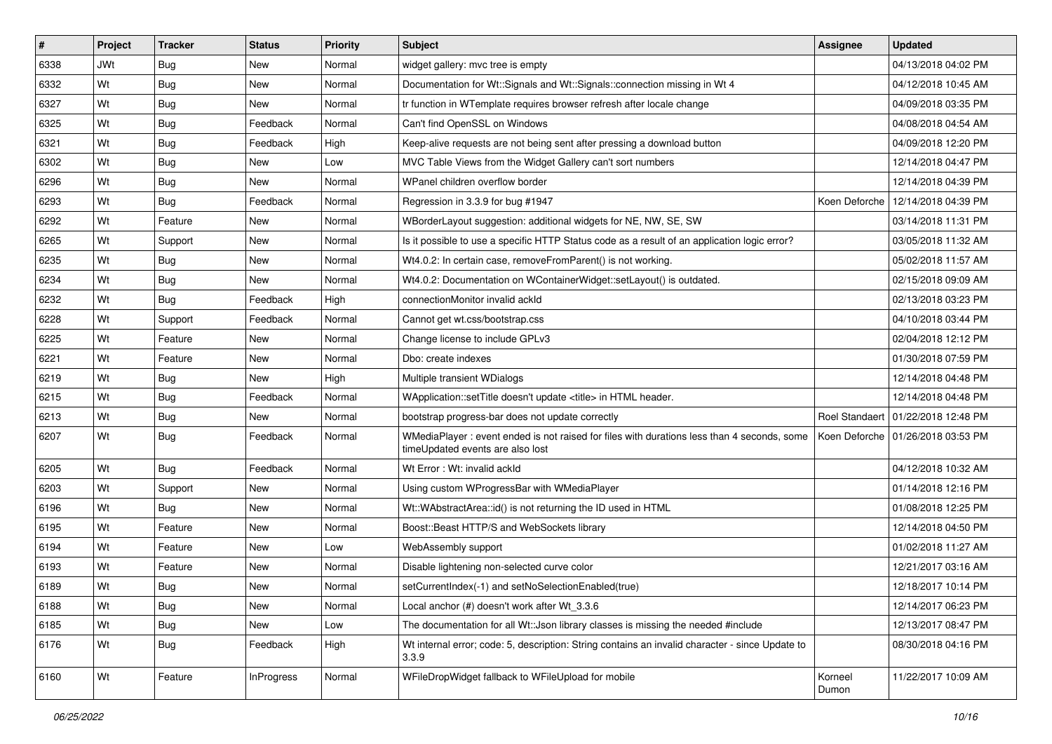| $\vert$ # | Project    | <b>Tracker</b> | <b>Status</b>     | Priority | Subject                                                                                                                         | Assignee         | <b>Updated</b>                       |
|-----------|------------|----------------|-------------------|----------|---------------------------------------------------------------------------------------------------------------------------------|------------------|--------------------------------------|
| 6338      | <b>JWt</b> | Bug            | New               | Normal   | widget gallery: mvc tree is empty                                                                                               |                  | 04/13/2018 04:02 PM                  |
| 6332      | Wt         | Bug            | <b>New</b>        | Normal   | Documentation for Wt::Signals and Wt::Signals::connection missing in Wt 4                                                       |                  | 04/12/2018 10:45 AM                  |
| 6327      | Wt         | Bug            | New               | Normal   | tr function in WTemplate requires browser refresh after locale change                                                           |                  | 04/09/2018 03:35 PM                  |
| 6325      | Wt         | Bug            | Feedback          | Normal   | Can't find OpenSSL on Windows                                                                                                   |                  | 04/08/2018 04:54 AM                  |
| 6321      | Wt         | Bug            | Feedback          | High     | Keep-alive requests are not being sent after pressing a download button                                                         |                  | 04/09/2018 12:20 PM                  |
| 6302      | Wt         | Bug            | New               | Low      | MVC Table Views from the Widget Gallery can't sort numbers                                                                      |                  | 12/14/2018 04:47 PM                  |
| 6296      | Wt         | Bug            | New               | Normal   | WPanel children overflow border                                                                                                 |                  | 12/14/2018 04:39 PM                  |
| 6293      | Wt         | Bug            | Feedback          | Normal   | Regression in 3.3.9 for bug #1947                                                                                               | Koen Deforche    | 12/14/2018 04:39 PM                  |
| 6292      | Wt         | Feature        | <b>New</b>        | Normal   | WBorderLayout suggestion: additional widgets for NE, NW, SE, SW                                                                 |                  | 03/14/2018 11:31 PM                  |
| 6265      | Wt         | Support        | <b>New</b>        | Normal   | Is it possible to use a specific HTTP Status code as a result of an application logic error?                                    |                  | 03/05/2018 11:32 AM                  |
| 6235      | Wt         | Bug            | New               | Normal   | Wt4.0.2: In certain case, removeFromParent() is not working.                                                                    |                  | 05/02/2018 11:57 AM                  |
| 6234      | Wt         | Bug            | New               | Normal   | Wt4.0.2: Documentation on WContainerWidget::setLayout() is outdated.                                                            |                  | 02/15/2018 09:09 AM                  |
| 6232      | Wt         | Bug            | Feedback          | High     | connectionMonitor invalid ackId                                                                                                 |                  | 02/13/2018 03:23 PM                  |
| 6228      | Wt         | Support        | Feedback          | Normal   | Cannot get wt.css/bootstrap.css                                                                                                 |                  | 04/10/2018 03:44 PM                  |
| 6225      | Wt         | Feature        | <b>New</b>        | Normal   | Change license to include GPLv3                                                                                                 |                  | 02/04/2018 12:12 PM                  |
| 6221      | Wt         | Feature        | New               | Normal   | Dbo: create indexes                                                                                                             |                  | 01/30/2018 07:59 PM                  |
| 6219      | Wt         | Bug            | New               | High     | Multiple transient WDialogs                                                                                                     |                  | 12/14/2018 04:48 PM                  |
| 6215      | Wt         | Bug            | Feedback          | Normal   | WApplication::setTitle doesn't update <title> in HTML header.</title>                                                           |                  | 12/14/2018 04:48 PM                  |
| 6213      | Wt         | Bug            | New               | Normal   | bootstrap progress-bar does not update correctly                                                                                |                  | Roel Standaert   01/22/2018 12:48 PM |
| 6207      | Wt         | Bug            | Feedback          | Normal   | WMediaPlayer : event ended is not raised for files with durations less than 4 seconds, some<br>timeUpdated events are also lost |                  | Koen Deforche   01/26/2018 03:53 PM  |
| 6205      | Wt         | Bug            | Feedback          | Normal   | Wt Error: Wt: invalid ackId                                                                                                     |                  | 04/12/2018 10:32 AM                  |
| 6203      | Wt         | Support        | New               | Normal   | Using custom WProgressBar with WMediaPlayer                                                                                     |                  | 01/14/2018 12:16 PM                  |
| 6196      | Wt         | Bug            | New               | Normal   | Wt::WAbstractArea::id() is not returning the ID used in HTML                                                                    |                  | 01/08/2018 12:25 PM                  |
| 6195      | Wt         | Feature        | New               | Normal   | Boost::Beast HTTP/S and WebSockets library                                                                                      |                  | 12/14/2018 04:50 PM                  |
| 6194      | Wt         | Feature        | <b>New</b>        | Low      | WebAssembly support                                                                                                             |                  | 01/02/2018 11:27 AM                  |
| 6193      | Wt         | Feature        | New               | Normal   | Disable lightening non-selected curve color                                                                                     |                  | 12/21/2017 03:16 AM                  |
| 6189      | Wt         | Bug            | New               | Normal   | setCurrentIndex(-1) and setNoSelectionEnabled(true)                                                                             |                  | 12/18/2017 10:14 PM                  |
| 6188      | Wt         | Bug            | New               | Normal   | Local anchor (#) doesn't work after Wt_3.3.6                                                                                    |                  | 12/14/2017 06:23 PM                  |
| 6185      | Wt         | <b>Bug</b>     | New               | Low      | The documentation for all Wt:: Json library classes is missing the needed #include                                              |                  | 12/13/2017 08:47 PM                  |
| 6176      | Wt         | Bug            | Feedback          | High     | Wt internal error; code: 5, description: String contains an invalid character - since Update to<br>3.3.9                        |                  | 08/30/2018 04:16 PM                  |
| 6160      | Wt         | Feature        | <b>InProgress</b> | Normal   | WFileDropWidget fallback to WFileUpload for mobile                                                                              | Korneel<br>Dumon | 11/22/2017 10:09 AM                  |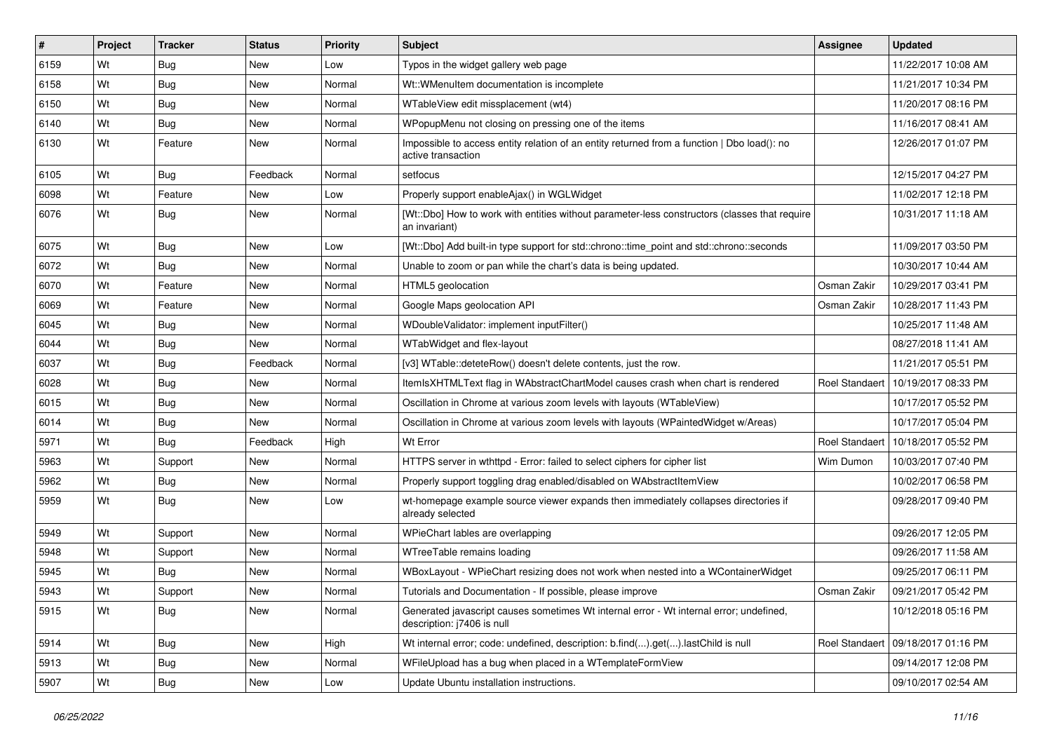| #    | Project | <b>Tracker</b> | <b>Status</b> | <b>Priority</b> | <b>Subject</b>                                                                                                        | Assignee              | <b>Updated</b>      |
|------|---------|----------------|---------------|-----------------|-----------------------------------------------------------------------------------------------------------------------|-----------------------|---------------------|
| 6159 | Wt      | Bug            | New           | Low             | Typos in the widget gallery web page                                                                                  |                       | 11/22/2017 10:08 AM |
| 6158 | Wt      | Bug            | New           | Normal          | Wt:: WMenuItem documentation is incomplete                                                                            |                       | 11/21/2017 10:34 PM |
| 6150 | Wt      | <b>Bug</b>     | New           | Normal          | WTableView edit missplacement (wt4)                                                                                   |                       | 11/20/2017 08:16 PM |
| 6140 | Wt      | Bug            | New           | Normal          | WPopupMenu not closing on pressing one of the items                                                                   |                       | 11/16/2017 08:41 AM |
| 6130 | Wt      | Feature        | New           | Normal          | Impossible to access entity relation of an entity returned from a function   Dbo load(): no<br>active transaction     |                       | 12/26/2017 01:07 PM |
| 6105 | Wt      | Bug            | Feedback      | Normal          | setfocus                                                                                                              |                       | 12/15/2017 04:27 PM |
| 6098 | Wt      | Feature        | <b>New</b>    | Low             | Properly support enableAjax() in WGLWidget                                                                            |                       | 11/02/2017 12:18 PM |
| 6076 | Wt      | Bug            | New           | Normal          | [Wt::Dbo] How to work with entities without parameter-less constructors (classes that require<br>an invariant)        |                       | 10/31/2017 11:18 AM |
| 6075 | Wt      | Bug            | New           | Low             | [Wt::Dbo] Add built-in type support for std::chrono::time_point and std::chrono::seconds                              |                       | 11/09/2017 03:50 PM |
| 6072 | Wt      | Bug            | New           | Normal          | Unable to zoom or pan while the chart's data is being updated.                                                        |                       | 10/30/2017 10:44 AM |
| 6070 | Wt      | Feature        | New           | Normal          | HTML5 geolocation                                                                                                     | Osman Zakir           | 10/29/2017 03:41 PM |
| 6069 | Wt      | Feature        | New           | Normal          | Google Maps geolocation API                                                                                           | Osman Zakir           | 10/28/2017 11:43 PM |
| 6045 | Wt      | Bug            | New           | Normal          | WDoubleValidator: implement inputFilter()                                                                             |                       | 10/25/2017 11:48 AM |
| 6044 | Wt      | <b>Bug</b>     | New           | Normal          | WTabWidget and flex-layout                                                                                            |                       | 08/27/2018 11:41 AM |
| 6037 | Wt      | Bug            | Feedback      | Normal          | [v3] WTable::deteteRow() doesn't delete contents, just the row.                                                       |                       | 11/21/2017 05:51 PM |
| 6028 | Wt      | Bug            | New           | Normal          | ItemIsXHTMLText flag in WAbstractChartModel causes crash when chart is rendered                                       | <b>Roel Standaert</b> | 10/19/2017 08:33 PM |
| 6015 | Wt      | Bug            | New           | Normal          | Oscillation in Chrome at various zoom levels with layouts (WTableView)                                                |                       | 10/17/2017 05:52 PM |
| 6014 | Wt      | Bug            | New           | Normal          | Oscillation in Chrome at various zoom levels with layouts (WPaintedWidget w/Areas)                                    |                       | 10/17/2017 05:04 PM |
| 5971 | Wt      | Bug            | Feedback      | High            | Wt Error                                                                                                              | Roel Standaer         | 10/18/2017 05:52 PM |
| 5963 | Wt      | Support        | New           | Normal          | HTTPS server in wthttpd - Error: failed to select ciphers for cipher list                                             | Wim Dumon             | 10/03/2017 07:40 PM |
| 5962 | Wt      | Bug            | <b>New</b>    | Normal          | Properly support toggling drag enabled/disabled on WAbstractItemView                                                  |                       | 10/02/2017 06:58 PM |
| 5959 | Wt      | Bug            | New           | Low             | wt-homepage example source viewer expands then immediately collapses directories if<br>already selected               |                       | 09/28/2017 09:40 PM |
| 5949 | Wt      | Support        | New           | Normal          | WPieChart lables are overlapping                                                                                      |                       | 09/26/2017 12:05 PM |
| 5948 | Wt      | Support        | New           | Normal          | WTreeTable remains loading                                                                                            |                       | 09/26/2017 11:58 AM |
| 5945 | Wt      | Bug            | New           | Normal          | WBoxLayout - WPieChart resizing does not work when nested into a WContainerWidget                                     |                       | 09/25/2017 06:11 PM |
| 5943 | Wt      | Support        | New           | Normal          | Tutorials and Documentation - If possible, please improve                                                             | Osman Zakir           | 09/21/2017 05:42 PM |
| 5915 | Wt      | Bug            | New           | Normal          | Generated javascript causes sometimes Wt internal error - Wt internal error; undefined,<br>description: j7406 is null |                       | 10/12/2018 05:16 PM |
| 5914 | Wt      | <b>Bug</b>     | New           | High            | Wt internal error; code: undefined, description: b.find().get().lastChild is null                                     | Roel Standaert        | 09/18/2017 01:16 PM |
| 5913 | Wt      | <b>Bug</b>     | New           | Normal          | WFileUpload has a bug when placed in a WTemplateFormView                                                              |                       | 09/14/2017 12:08 PM |
| 5907 | Wt      | <b>Bug</b>     | New           | Low             | Update Ubuntu installation instructions.                                                                              |                       | 09/10/2017 02:54 AM |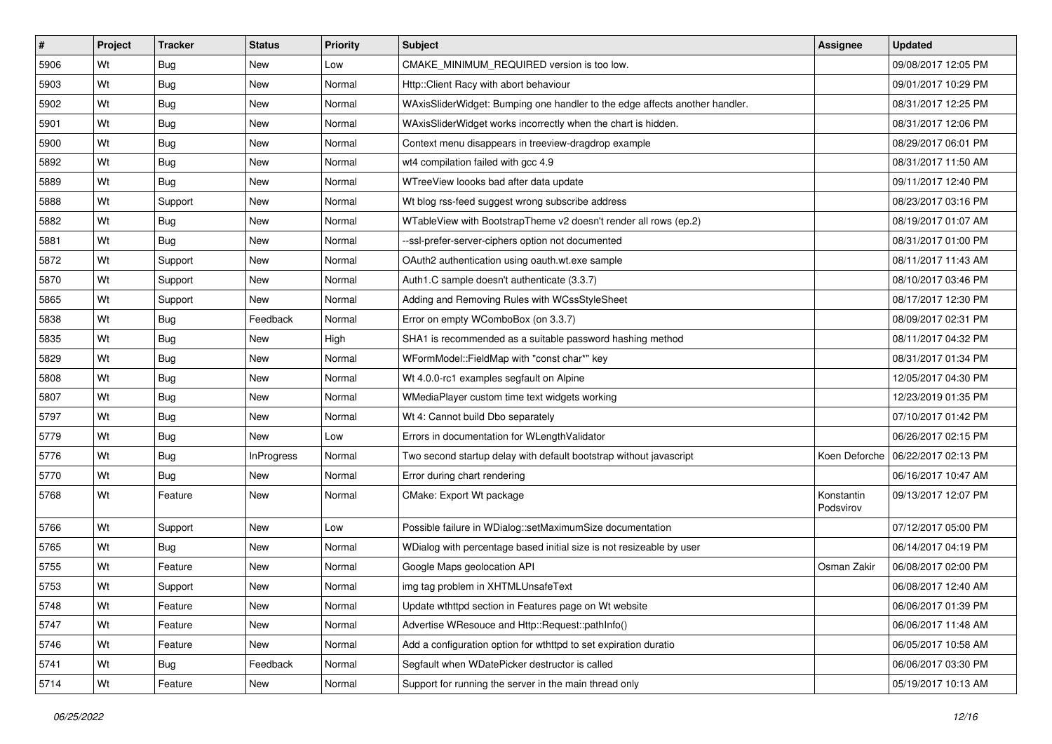| #    | Project | <b>Tracker</b> | <b>Status</b>     | <b>Priority</b> | <b>Subject</b>                                                              | <b>Assignee</b>         | Updated             |
|------|---------|----------------|-------------------|-----------------|-----------------------------------------------------------------------------|-------------------------|---------------------|
| 5906 | Wt      | Bug            | New               | Low             | CMAKE MINIMUM REQUIRED version is too low.                                  |                         | 09/08/2017 12:05 PM |
| 5903 | Wt      | Bug            | New               | Normal          | Http:: Client Racy with abort behaviour                                     |                         | 09/01/2017 10:29 PM |
| 5902 | Wt      | Bug            | New               | Normal          | WAxisSliderWidget: Bumping one handler to the edge affects another handler. |                         | 08/31/2017 12:25 PM |
| 5901 | Wt      | Bug            | New               | Normal          | WAxisSliderWidget works incorrectly when the chart is hidden.               |                         | 08/31/2017 12:06 PM |
| 5900 | Wt      | <b>Bug</b>     | New               | Normal          | Context menu disappears in treeview-dragdrop example                        |                         | 08/29/2017 06:01 PM |
| 5892 | Wt      | Bug            | New               | Normal          | wt4 compilation failed with gcc 4.9                                         |                         | 08/31/2017 11:50 AM |
| 5889 | Wt      | Bug            | New               | Normal          | WTreeView loooks bad after data update                                      |                         | 09/11/2017 12:40 PM |
| 5888 | Wt      | Support        | New               | Normal          | Wt blog rss-feed suggest wrong subscribe address                            |                         | 08/23/2017 03:16 PM |
| 5882 | Wt      | Bug            | <b>New</b>        | Normal          | WTableView with BootstrapTheme v2 doesn't render all rows (ep.2)            |                         | 08/19/2017 01:07 AM |
| 5881 | Wt      | Bug            | New               | Normal          | --ssl-prefer-server-ciphers option not documented                           |                         | 08/31/2017 01:00 PM |
| 5872 | Wt      | Support        | New               | Normal          | OAuth2 authentication using oauth.wt.exe sample                             |                         | 08/11/2017 11:43 AM |
| 5870 | Wt      | Support        | New               | Normal          | Auth1.C sample doesn't authenticate (3.3.7)                                 |                         | 08/10/2017 03:46 PM |
| 5865 | Wt      | Support        | New               | Normal          | Adding and Removing Rules with WCssStyleSheet                               |                         | 08/17/2017 12:30 PM |
| 5838 | Wt      | Bug            | Feedback          | Normal          | Error on empty WComboBox (on 3.3.7)                                         |                         | 08/09/2017 02:31 PM |
| 5835 | Wt      | Bug            | <b>New</b>        | High            | SHA1 is recommended as a suitable password hashing method                   |                         | 08/11/2017 04:32 PM |
| 5829 | Wt      | Bug            | New               | Normal          | WFormModel::FieldMap with "const char*" key                                 |                         | 08/31/2017 01:34 PM |
| 5808 | Wt      | Bug            | New               | Normal          | Wt 4.0.0-rc1 examples segfault on Alpine                                    |                         | 12/05/2017 04:30 PM |
| 5807 | Wt      | <b>Bug</b>     | New               | Normal          | WMediaPlayer custom time text widgets working                               |                         | 12/23/2019 01:35 PM |
| 5797 | Wt      | Bug            | New               | Normal          | Wt 4: Cannot build Dbo separately                                           |                         | 07/10/2017 01:42 PM |
| 5779 | Wt      | Bug            | New               | Low             | Errors in documentation for WLengthValidator                                |                         | 06/26/2017 02:15 PM |
| 5776 | Wt      | Bug            | <b>InProgress</b> | Normal          | Two second startup delay with default bootstrap without javascript          | Koen Deforche           | 06/22/2017 02:13 PM |
| 5770 | Wt      | Bug            | <b>New</b>        | Normal          | Error during chart rendering                                                |                         | 06/16/2017 10:47 AM |
| 5768 | Wt      | Feature        | New               | Normal          | CMake: Export Wt package                                                    | Konstantin<br>Podsvirov | 09/13/2017 12:07 PM |
| 5766 | Wt      | Support        | New               | Low             | Possible failure in WDialog::setMaximumSize documentation                   |                         | 07/12/2017 05:00 PM |
| 5765 | Wt      | <b>Bug</b>     | New               | Normal          | WDialog with percentage based initial size is not resizeable by user        |                         | 06/14/2017 04:19 PM |
| 5755 | Wt      | Feature        | New               | Normal          | Google Maps geolocation API                                                 | Osman Zakir             | 06/08/2017 02:00 PM |
| 5753 | Wt      | Support        | New               | Normal          | img tag problem in XHTMLUnsafeText                                          |                         | 06/08/2017 12:40 AM |
| 5748 | Wt      | Feature        | <b>New</b>        | Normal          | Update wthttpd section in Features page on Wt website                       |                         | 06/06/2017 01:39 PM |
| 5747 | Wt      | Feature        | New               | Normal          | Advertise WResouce and Http::Request::pathInfo()                            |                         | 06/06/2017 11:48 AM |
| 5746 | Wt      | Feature        | New               | Normal          | Add a configuration option for wthttpd to set expiration duratio            |                         | 06/05/2017 10:58 AM |
| 5741 | Wt      | <b>Bug</b>     | Feedback          | Normal          | Segfault when WDatePicker destructor is called                              |                         | 06/06/2017 03:30 PM |
| 5714 | Wt      | Feature        | New               | Normal          | Support for running the server in the main thread only                      |                         | 05/19/2017 10:13 AM |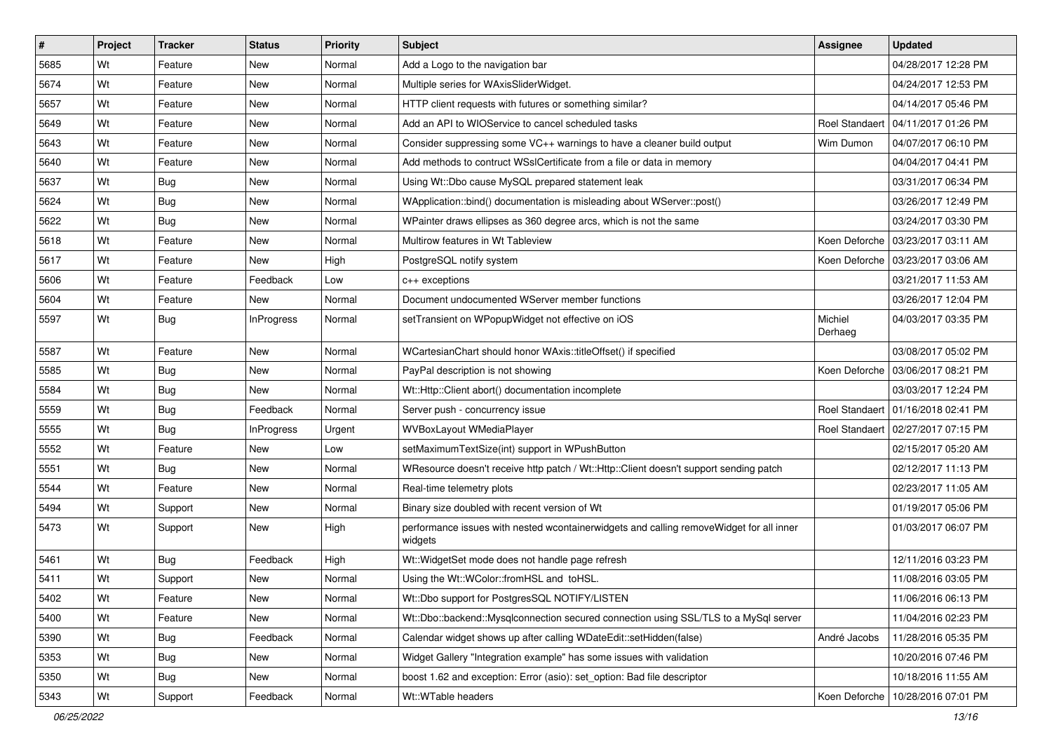| #    | Project | <b>Tracker</b> | <b>Status</b> | Priority | Subject                                                                                            | Assignee              | <b>Updated</b>                       |
|------|---------|----------------|---------------|----------|----------------------------------------------------------------------------------------------------|-----------------------|--------------------------------------|
| 5685 | Wt      | Feature        | New           | Normal   | Add a Logo to the navigation bar                                                                   |                       | 04/28/2017 12:28 PM                  |
| 5674 | Wt      | Feature        | New           | Normal   | Multiple series for WAxisSliderWidget.                                                             |                       | 04/24/2017 12:53 PM                  |
| 5657 | Wt      | Feature        | New           | Normal   | HTTP client requests with futures or something similar?                                            |                       | 04/14/2017 05:46 PM                  |
| 5649 | Wt      | Feature        | New           | Normal   | Add an API to WIOService to cancel scheduled tasks                                                 | <b>Roel Standaert</b> | 04/11/2017 01:26 PM                  |
| 5643 | Wt      | Feature        | New           | Normal   | Consider suppressing some VC++ warnings to have a cleaner build output                             | Wim Dumon             | 04/07/2017 06:10 PM                  |
| 5640 | Wt      | Feature        | New           | Normal   | Add methods to contruct WSslCertificate from a file or data in memory                              |                       | 04/04/2017 04:41 PM                  |
| 5637 | Wt      | <b>Bug</b>     | New           | Normal   | Using Wt::Dbo cause MySQL prepared statement leak                                                  |                       | 03/31/2017 06:34 PM                  |
| 5624 | Wt      | Bug            | New           | Normal   | WApplication::bind() documentation is misleading about WServer::post()                             |                       | 03/26/2017 12:49 PM                  |
| 5622 | Wt      | Bug            | New           | Normal   | WPainter draws ellipses as 360 degree arcs, which is not the same                                  |                       | 03/24/2017 03:30 PM                  |
| 5618 | Wt      | Feature        | New           | Normal   | Multirow features in Wt Tableview                                                                  | Koen Deforche         | 03/23/2017 03:11 AM                  |
| 5617 | Wt      | Feature        | New           | High     | PostgreSQL notify system                                                                           |                       | Koen Deforche   03/23/2017 03:06 AM  |
| 5606 | Wt      | Feature        | Feedback      | Low      | c++ exceptions                                                                                     |                       | 03/21/2017 11:53 AM                  |
| 5604 | Wt      | Feature        | New           | Normal   | Document undocumented WServer member functions                                                     |                       | 03/26/2017 12:04 PM                  |
| 5597 | Wt      | Bug            | InProgress    | Normal   | setTransient on WPopupWidget not effective on iOS                                                  | Michiel<br>Derhaeg    | 04/03/2017 03:35 PM                  |
| 5587 | Wt      | Feature        | New           | Normal   | WCartesianChart should honor WAxis::titleOffset() if specified                                     |                       | 03/08/2017 05:02 PM                  |
| 5585 | Wt      | Bug            | New           | Normal   | PayPal description is not showing                                                                  |                       | Koen Deforche 103/06/2017 08:21 PM   |
| 5584 | Wt      | Bug            | New           | Normal   | Wt::Http::Client abort() documentation incomplete                                                  |                       | 03/03/2017 12:24 PM                  |
| 5559 | Wt      | Bug            | Feedback      | Normal   | Server push - concurrency issue                                                                    | <b>Roel Standaert</b> | 01/16/2018 02:41 PM                  |
| 5555 | Wt      | Bug            | InProgress    | Urgent   | WVBoxLayout WMediaPlayer                                                                           |                       | Roel Standaert   02/27/2017 07:15 PM |
| 5552 | Wt      | Feature        | New           | Low      | setMaximumTextSize(int) support in WPushButton                                                     |                       | 02/15/2017 05:20 AM                  |
| 5551 | Wt      | Bug            | New           | Normal   | WResource doesn't receive http patch / Wt::Http::Client doesn't support sending patch              |                       | 02/12/2017 11:13 PM                  |
| 5544 | Wt      | Feature        | New           | Normal   | Real-time telemetry plots                                                                          |                       | 02/23/2017 11:05 AM                  |
| 5494 | Wt      | Support        | New           | Normal   | Binary size doubled with recent version of Wt                                                      |                       | 01/19/2017 05:06 PM                  |
| 5473 | Wt      | Support        | New           | High     | performance issues with nested wcontainerwidgets and calling removeWidget for all inner<br>widgets |                       | 01/03/2017 06:07 PM                  |
| 5461 | Wt      | Bug            | Feedback      | High     | Wt:: WidgetSet mode does not handle page refresh                                                   |                       | 12/11/2016 03:23 PM                  |
| 5411 | Wt      | Support        | New           | Normal   | Using the Wt::WColor::fromHSL and toHSL.                                                           |                       | 11/08/2016 03:05 PM                  |
| 5402 | Wt      | Feature        | New           | Normal   | Wt::Dbo support for PostgresSQL NOTIFY/LISTEN                                                      |                       | 11/06/2016 06:13 PM                  |
| 5400 | Wt      | Feature        | New           | Normal   | Wt::Dbo::backend::Mysqlconnection secured connection using SSL/TLS to a MySql server               |                       | 11/04/2016 02:23 PM                  |
| 5390 | Wt      | <b>Bug</b>     | Feedback      | Normal   | Calendar widget shows up after calling WDateEdit::setHidden(false)                                 | André Jacobs          | 11/28/2016 05:35 PM                  |
| 5353 | Wt      | <b>Bug</b>     | New           | Normal   | Widget Gallery "Integration example" has some issues with validation                               |                       | 10/20/2016 07:46 PM                  |
| 5350 | Wt      | <b>Bug</b>     | New           | Normal   | boost 1.62 and exception: Error (asio): set_option: Bad file descriptor                            |                       | 10/18/2016 11:55 AM                  |
| 5343 | Wt      | Support        | Feedback      | Normal   | Wt::WTable headers                                                                                 |                       | Koen Deforche   10/28/2016 07:01 PM  |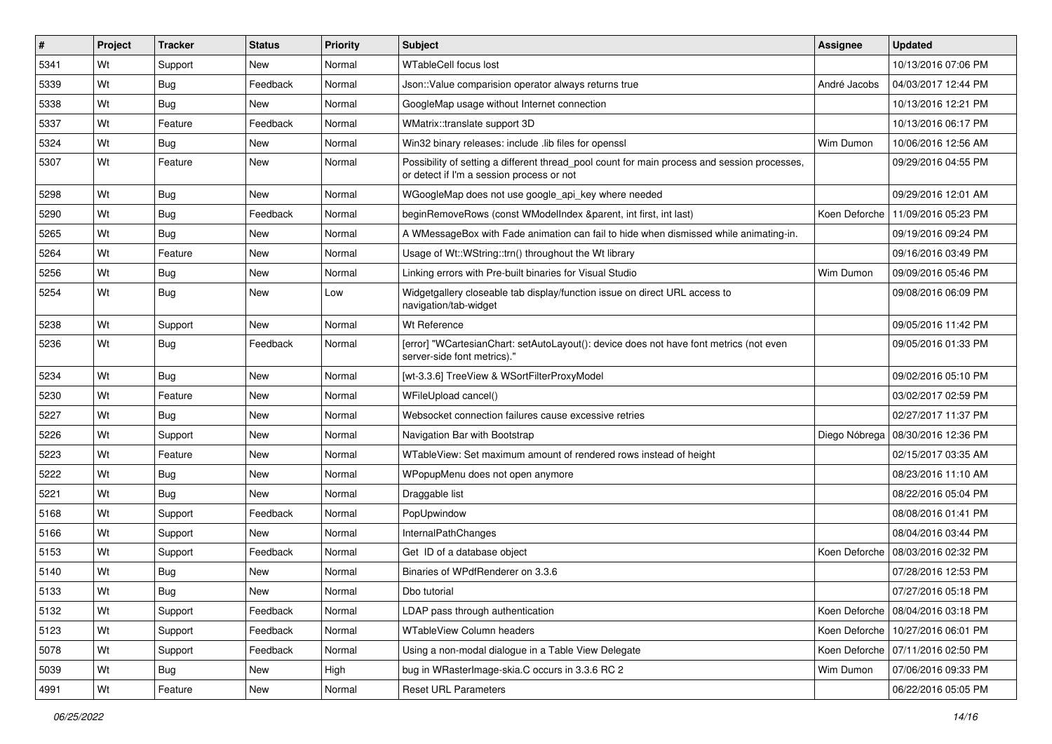| ∦    | Project | <b>Tracker</b> | <b>Status</b> | Priority | Subject                                                                                                                                   | <b>Assignee</b> | <b>Updated</b>                      |
|------|---------|----------------|---------------|----------|-------------------------------------------------------------------------------------------------------------------------------------------|-----------------|-------------------------------------|
| 5341 | Wt      | Support        | New           | Normal   | <b>WTableCell focus lost</b>                                                                                                              |                 | 10/13/2016 07:06 PM                 |
| 5339 | Wt      | Bug            | Feedback      | Normal   | Json:: Value comparision operator always returns true                                                                                     | André Jacobs    | 04/03/2017 12:44 PM                 |
| 5338 | Wt      | Bug            | <b>New</b>    | Normal   | GoogleMap usage without Internet connection                                                                                               |                 | 10/13/2016 12:21 PM                 |
| 5337 | Wt      | Feature        | Feedback      | Normal   | WMatrix::translate support 3D                                                                                                             |                 | 10/13/2016 06:17 PM                 |
| 5324 | Wt      | Bug            | <b>New</b>    | Normal   | Win32 binary releases: include .lib files for openssl                                                                                     | Wim Dumon       | 10/06/2016 12:56 AM                 |
| 5307 | Wt      | Feature        | New           | Normal   | Possibility of setting a different thread pool count for main process and session processes,<br>or detect if I'm a session process or not |                 | 09/29/2016 04:55 PM                 |
| 5298 | Wt      | Bug            | <b>New</b>    | Normal   | WGoogleMap does not use google_api_key where needed                                                                                       |                 | 09/29/2016 12:01 AM                 |
| 5290 | Wt      | Bug            | Feedback      | Normal   | beginRemoveRows (const WModelIndex &parent, int first, int last)                                                                          |                 | Koen Deforche   11/09/2016 05:23 PM |
| 5265 | Wt      | Bug            | <b>New</b>    | Normal   | A WMessageBox with Fade animation can fail to hide when dismissed while animating-in.                                                     |                 | 09/19/2016 09:24 PM                 |
| 5264 | Wt      | Feature        | New           | Normal   | Usage of Wt::WString::trn() throughout the Wt library                                                                                     |                 | 09/16/2016 03:49 PM                 |
| 5256 | Wt      | Bug            | New           | Normal   | Linking errors with Pre-built binaries for Visual Studio                                                                                  | Wim Dumon       | 09/09/2016 05:46 PM                 |
| 5254 | Wt      | Bug            | New           | Low      | Widgetgallery closeable tab display/function issue on direct URL access to<br>navigation/tab-widget                                       |                 | 09/08/2016 06:09 PM                 |
| 5238 | Wt      | Support        | <b>New</b>    | Normal   | Wt Reference                                                                                                                              |                 | 09/05/2016 11:42 PM                 |
| 5236 | Wt      | Bug            | Feedback      | Normal   | [error] "WCartesianChart: setAutoLayout(): device does not have font metrics (not even<br>server-side font metrics)."                     |                 | 09/05/2016 01:33 PM                 |
| 5234 | Wt      | Bug            | <b>New</b>    | Normal   | [wt-3.3.6] TreeView & WSortFilterProxyModel                                                                                               |                 | 09/02/2016 05:10 PM                 |
| 5230 | Wt      | Feature        | New           | Normal   | WFileUpload cancel()                                                                                                                      |                 | 03/02/2017 02:59 PM                 |
| 5227 | Wt      | Bug            | New           | Normal   | Websocket connection failures cause excessive retries                                                                                     |                 | 02/27/2017 11:37 PM                 |
| 5226 | Wt      | Support        | <b>New</b>    | Normal   | Navigation Bar with Bootstrap                                                                                                             |                 | Diego Nóbrega   08/30/2016 12:36 PM |
| 5223 | Wt      | Feature        | <b>New</b>    | Normal   | WTableView: Set maximum amount of rendered rows instead of height                                                                         |                 | 02/15/2017 03:35 AM                 |
| 5222 | Wt      | Bug            | <b>New</b>    | Normal   | WPopupMenu does not open anymore                                                                                                          |                 | 08/23/2016 11:10 AM                 |
| 5221 | Wt      | Bug            | New           | Normal   | Draggable list                                                                                                                            |                 | 08/22/2016 05:04 PM                 |
| 5168 | Wt      | Support        | Feedback      | Normal   | PopUpwindow                                                                                                                               |                 | 08/08/2016 01:41 PM                 |
| 5166 | Wt      | Support        | <b>New</b>    | Normal   | InternalPathChanges                                                                                                                       |                 | 08/04/2016 03:44 PM                 |
| 5153 | Wt      | Support        | Feedback      | Normal   | Get ID of a database object                                                                                                               | Koen Deforche   | 08/03/2016 02:32 PM                 |
| 5140 | Wt      | Bug            | New           | Normal   | Binaries of WPdfRenderer on 3.3.6                                                                                                         |                 | 07/28/2016 12:53 PM                 |
| 5133 | Wt      | Bug            | New           | Normal   | Dbo tutorial                                                                                                                              |                 | 07/27/2016 05:18 PM                 |
| 5132 | Wt      | Support        | Feedback      | Normal   | LDAP pass through authentication                                                                                                          |                 | Koen Deforche   08/04/2016 03:18 PM |
| 5123 | Wt      | Support        | Feedback      | Normal   | <b>WTableView Column headers</b>                                                                                                          |                 | Koen Deforche   10/27/2016 06:01 PM |
| 5078 | Wt      | Support        | Feedback      | Normal   | Using a non-modal dialogue in a Table View Delegate                                                                                       |                 | Koen Deforche   07/11/2016 02:50 PM |
| 5039 | Wt      | Bug            | New           | High     | bug in WRasterImage-skia.C occurs in 3.3.6 RC 2                                                                                           | Wim Dumon       | 07/06/2016 09:33 PM                 |
| 4991 | Wt      | Feature        | New           | Normal   | <b>Reset URL Parameters</b>                                                                                                               |                 | 06/22/2016 05:05 PM                 |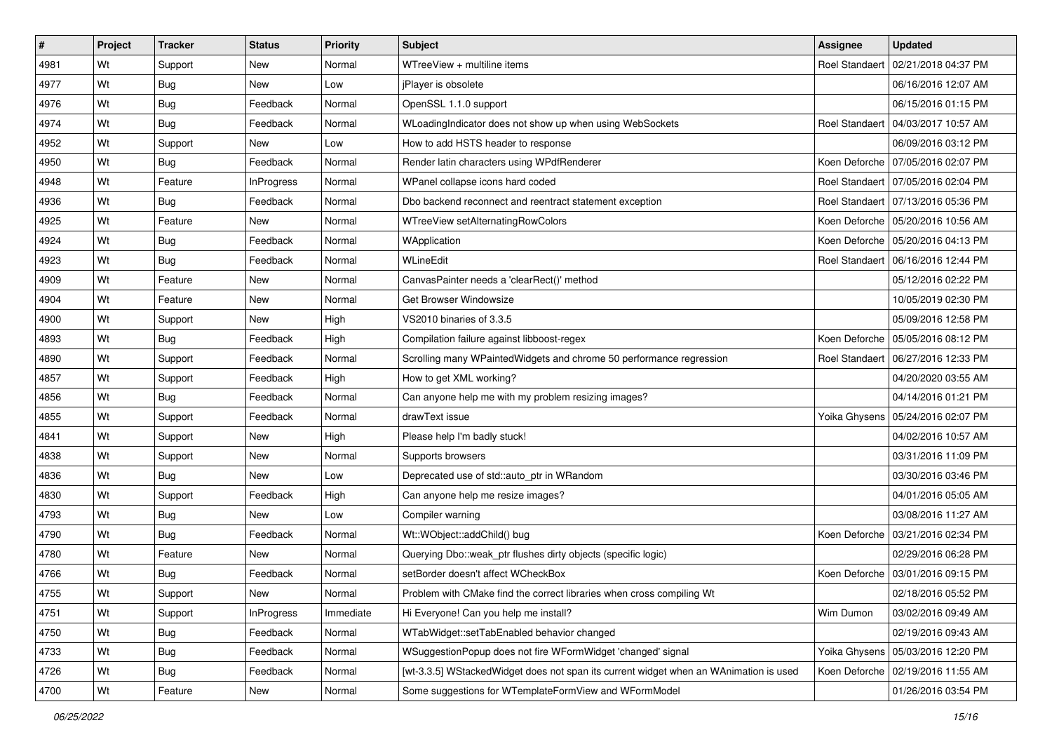| #    | Project | <b>Tracker</b> | <b>Status</b>     | <b>Priority</b> | Subject                                                                               | <b>Assignee</b>       | <b>Updated</b>                       |
|------|---------|----------------|-------------------|-----------------|---------------------------------------------------------------------------------------|-----------------------|--------------------------------------|
| 4981 | Wt      | Support        | New               | Normal          | WTreeView + multiline items                                                           | <b>Roel Standaert</b> | 02/21/2018 04:37 PM                  |
| 4977 | Wt      | Bug            | New               | Low             | jPlayer is obsolete                                                                   |                       | 06/16/2016 12:07 AM                  |
| 4976 | Wt      | Bug            | Feedback          | Normal          | OpenSSL 1.1.0 support                                                                 |                       | 06/15/2016 01:15 PM                  |
| 4974 | Wt      | Bug            | Feedback          | Normal          | WLoadingIndicator does not show up when using WebSockets                              |                       | Roel Standaert 104/03/2017 10:57 AM  |
| 4952 | Wt      | Support        | New               | Low             | How to add HSTS header to response                                                    |                       | 06/09/2016 03:12 PM                  |
| 4950 | Wt      | Bug            | Feedback          | Normal          | Render latin characters using WPdfRenderer                                            |                       | Koen Deforche   07/05/2016 02:07 PM  |
| 4948 | Wt      | Feature        | <b>InProgress</b> | Normal          | WPanel collapse icons hard coded                                                      |                       | Roel Standaert   07/05/2016 02:04 PM |
| 4936 | Wt      | Bug            | Feedback          | Normal          | Dbo backend reconnect and reentract statement exception                               |                       | Roel Standaert 07/13/2016 05:36 PM   |
| 4925 | Wt      | Feature        | New               | Normal          | WTreeView setAlternatingRowColors                                                     |                       | Koen Deforche   05/20/2016 10:56 AM  |
| 4924 | Wt      | <b>Bug</b>     | Feedback          | Normal          | WApplication                                                                          |                       | Koen Deforche   05/20/2016 04:13 PM  |
| 4923 | Wt      | Bug            | Feedback          | Normal          | WLineEdit                                                                             |                       | Roel Standaert   06/16/2016 12:44 PM |
| 4909 | Wt      | Feature        | New               | Normal          | CanvasPainter needs a 'clearRect()' method                                            |                       | 05/12/2016 02:22 PM                  |
| 4904 | Wt      | Feature        | New               | Normal          | Get Browser Windowsize                                                                |                       | 10/05/2019 02:30 PM                  |
| 4900 | Wt      | Support        | New               | High            | VS2010 binaries of 3.3.5                                                              |                       | 05/09/2016 12:58 PM                  |
| 4893 | Wt      | <b>Bug</b>     | Feedback          | High            | Compilation failure against libboost-regex                                            |                       | Koen Deforche   05/05/2016 08:12 PM  |
| 4890 | Wt      | Support        | Feedback          | Normal          | Scrolling many WPaintedWidgets and chrome 50 performance regression                   |                       | Roel Standaert   06/27/2016 12:33 PM |
| 4857 | Wt      | Support        | Feedback          | High            | How to get XML working?                                                               |                       | 04/20/2020 03:55 AM                  |
| 4856 | Wt      | Bug            | Feedback          | Normal          | Can anyone help me with my problem resizing images?                                   |                       | 04/14/2016 01:21 PM                  |
| 4855 | Wt      | Support        | Feedback          | Normal          | drawText issue                                                                        |                       | Yoika Ghysens   05/24/2016 02:07 PM  |
| 4841 | Wt      | Support        | New               | High            | Please help I'm badly stuck!                                                          |                       | 04/02/2016 10:57 AM                  |
| 4838 | Wt      | Support        | New               | Normal          | Supports browsers                                                                     |                       | 03/31/2016 11:09 PM                  |
| 4836 | Wt      | Bug            | New               | Low             | Deprecated use of std::auto_ptr in WRandom                                            |                       | 03/30/2016 03:46 PM                  |
| 4830 | Wt      | Support        | Feedback          | High            | Can anyone help me resize images?                                                     |                       | 04/01/2016 05:05 AM                  |
| 4793 | Wt      | Bug            | New               | Low             | Compiler warning                                                                      |                       | 03/08/2016 11:27 AM                  |
| 4790 | Wt      | Bug            | Feedback          | Normal          | Wt::WObject::addChild() bug                                                           |                       | Koen Deforche   03/21/2016 02:34 PM  |
| 4780 | Wt      | Feature        | New               | Normal          | Querying Dbo::weak_ptr flushes dirty objects (specific logic)                         |                       | 02/29/2016 06:28 PM                  |
| 4766 | Wt      | Bug            | Feedback          | Normal          | setBorder doesn't affect WCheckBox                                                    | Koen Deforche         | 03/01/2016 09:15 PM                  |
| 4755 | Wt      | Support        | New               | Normal          | Problem with CMake find the correct libraries when cross compiling Wt                 |                       | 02/18/2016 05:52 PM                  |
| 4751 | Wt      | Support        | <b>InProgress</b> | Immediate       | Hi Everyone! Can you help me install?                                                 | Wim Dumon             | 03/02/2016 09:49 AM                  |
| 4750 | Wt      | <b>Bug</b>     | Feedback          | Normal          | WTabWidget::setTabEnabled behavior changed                                            |                       | 02/19/2016 09:43 AM                  |
| 4733 | Wt      | Bug            | Feedback          | Normal          | WSuggestionPopup does not fire WFormWidget 'changed' signal                           |                       | Yoika Ghysens   05/03/2016 12:20 PM  |
| 4726 | Wt      | <b>Bug</b>     | Feedback          | Normal          | [wt-3.3.5] WStackedWidget does not span its current widget when an WAnimation is used |                       | Koen Deforche   02/19/2016 11:55 AM  |
| 4700 | Wt      | Feature        | New               | Normal          | Some suggestions for WTemplateFormView and WFormModel                                 |                       | 01/26/2016 03:54 PM                  |